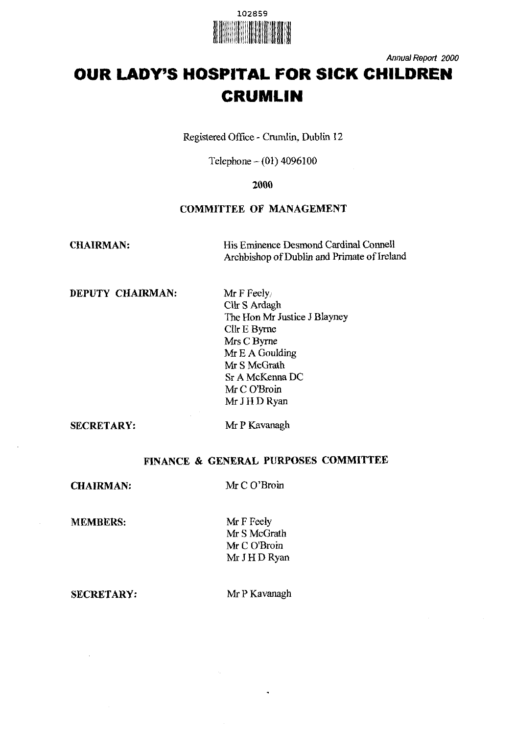

**Annual Repori 2000** 

# **OUR LADY'S HOSPITAL FOR SICK CHILDREN CRUMLIN**

Registered Office - Crumlin, Dublin 12

Telephone  $- (01)$  4096100

2000

# **COMMITTEE OF MANAGEMENT**

**CHAIRMAN:** His Eminence Desmond Cardinal Connell Archbishop of Dublin and Primate of Ireland

## **DEPUTY CHAIRMAN:** Mr F Feely,

Cllr S Ardagh The Hon Mr Justice **5** Blayney Cllr E Byrne Mrs C Byrne Mr E A Goulding **Mr** S McGrath Sr A McKenna DC Mr C O'Broin Mr JHD Ryan

**SECRETARY:** Mr **P** Kavanagh

# **FINANCE** & **GENERAL PURPOSES COMMITTEE**

CHAIRMAN: Mr C O'Broin

**MEMBERS:** Mr F Feely

Mr S McGrath Mr C O'Broin MrJHDRyan

**SECRETARY:** Mr P Kavanagh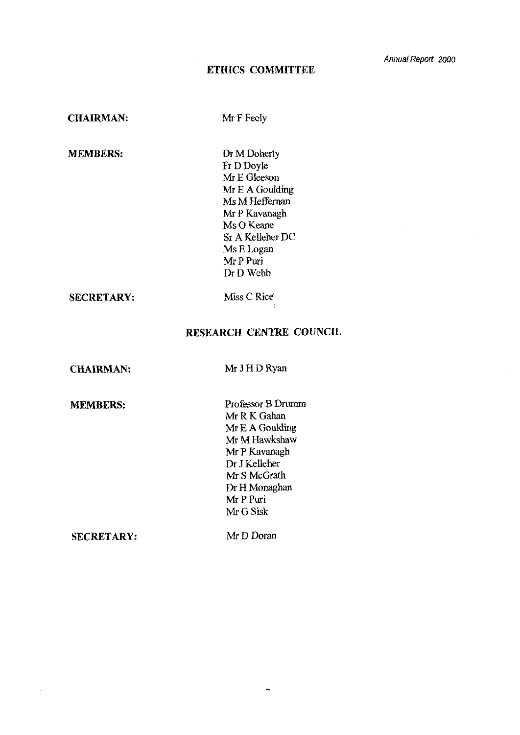## **ETHICS COMMITTEE**

## **CHAIRMAN:**

## Mr F Feely

**MEMBERS:** 

Dr M Doherty Fr D Doyle **MT** E Gleeson Mr E **A** Goulding Ms M Heffernan Mr P Kavanagh Ms 0 Keane Sr **A** Kelleher DC Ms E Logan MrPPuri Dr D Webb

## **SECRETARY:**

Miss C Rice

# **RESEARCH CENTRE COUNCIL**

**CHAIRMAN:** 

# Mr J H D Ryan

**MEMBERS:** 

Professor B Drumm Mr R K Gahan Mr E **A** Gould'ig Mr M Hawkshaw **Mr** P Kavanagh Dr J Kelleher Mr S McGrath Dr H Monaghan **Mr** P Puri Mr G **Sisk** 

**SECRETARY:** 

Mr D Doran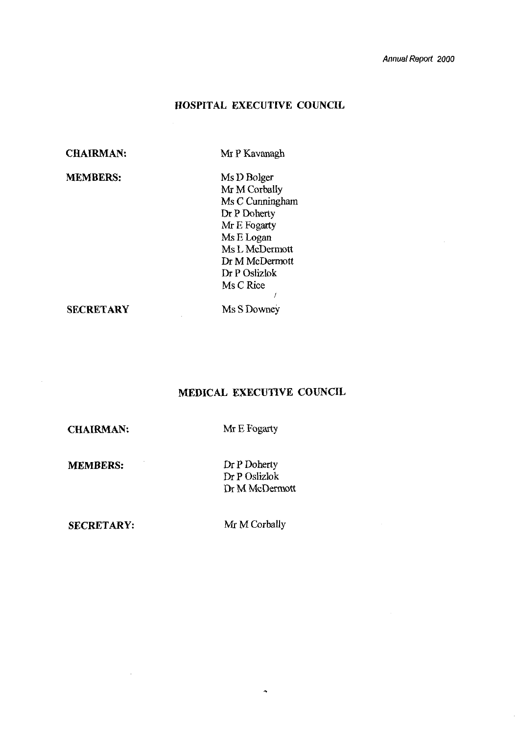# **HOSPITAL EXECUTIVE COUNCIL**

# **CHAIRMAN:**

## Mr P Kavanagh

**MEMBERS:** 

Ms D Bolger Mr M Corbally Ms C Cunningham Dr P Doherty Mr E Fogarty Ms E Logan Ms L McDermott Dr M McDermott Dr P Oslizlok Ms C Rice

## **SECRETARY** Ms S Downey

**MEDICAL EXECUTIVE COUNCIL** 

**CHAIRMAN:** 

Mr E Fogarty

**MEMBERS:** 

Dr P Doherty Dr P Oslizlok **Dr M McDermott** 

**SECRETARY:** 

Mr M Corbally

 $\ddot{\phantom{0}}$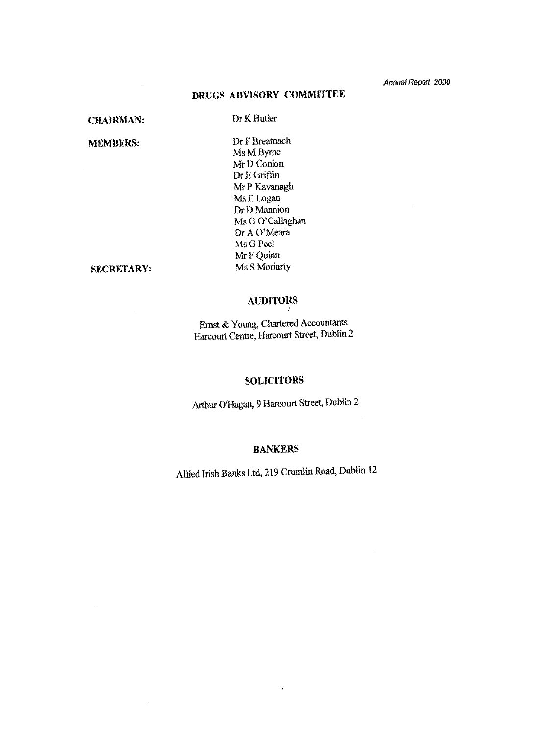# **DRUGS ADVISORY COMMITTEE**

## **CHAIRMAN:**

# Dr K Butler

**MEMBERS:** 

Dr F Breatnach **Ms** M **Byrne Mr** D ConIon Dr E Griffin Mr P Kavanagh Ms E Logan Dr D Mannion Ms G O'Callaghan Dr A O'Meara Ms G Peel Mr F Quinn Ms S Moriarty

## **SECRETARY:**

# **AUDITORS**

Ernst & Young, Chartered Accountants Rarcourt *Centre,* Harcourt **Street,** DubIin 2

# **SOLICITORS**

Arthur O'Hagan, 9 Harcourt Street, Dublin 2

# **BANKERS**

**Allied** Irish **Bw&s** Ltd, **219** Crumlin Road, Dublin **12** 

 $\bar{\star}$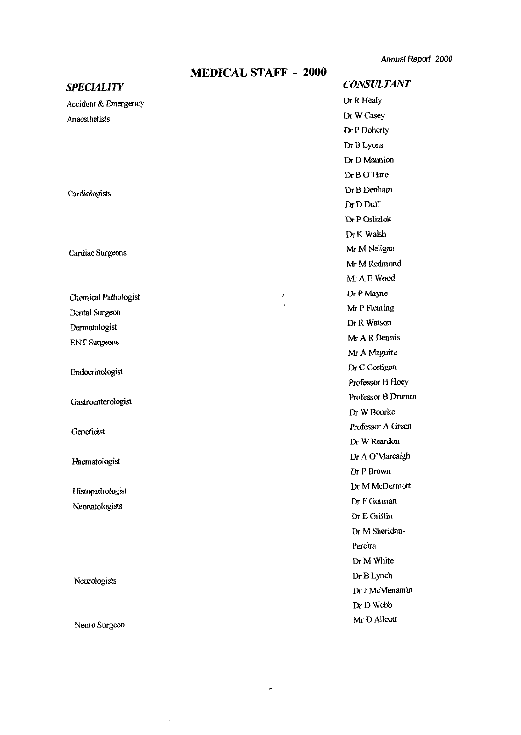# **MEDICAL STAFF - 2000**

#### **Annual Report 2000**

Mr D Allcutt

*CUNSULTANT SPECIALITY*  Dr R Healy Accident & Emergency Dr W Casey Anaesthetists Dr P Doherty Dr B Lyons Dr D **Mannion**  Dr B O'Hare Dr B Denham Cardiologists Dr D Duff Dr P Oslizlok **Dr K** Walsh Mr M Neligan Cardiac Surgeons **MI** M Redmond Mr A E Wood Dr P Mayne  $\overline{\ell}$ Chemical Pathologist  $\frac{1}{2}$ Mr P Fleming **Dental** Surgeon Dr R Watson Dermatologist Mr A R Dennis **ENT** Surgeons Mr A Maguire Dr C Costigan Endocrinologist Professor H Hoey Professor B Drumm Gastroenterologist Dr W Bourke Professor A Green Geneticist Dr W **Reardon**  Dr A O'Marcaigh Haematologist Dr P Brown Dr M McDermott Histopathologist Dr F Gorman Neonatologists Dr E Griffin Dr M Sheridan-Pereira Dr M White Dr B Lynch Neurologists Dr **J** McMenamin Dr D Webb

Newo Surgeon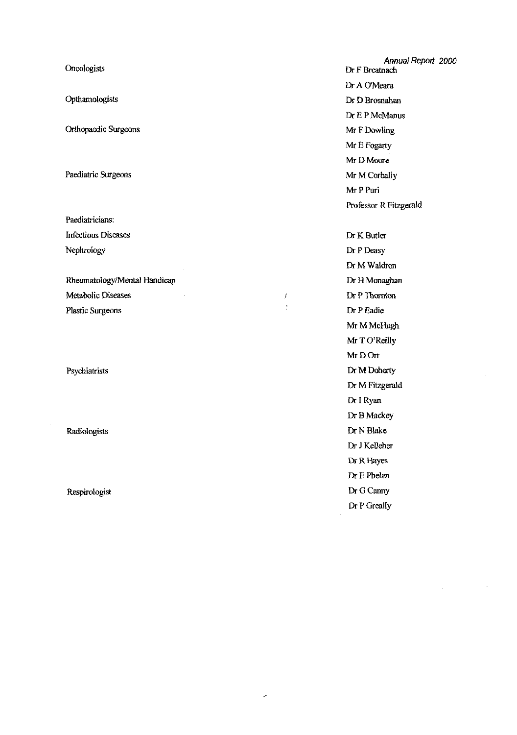**Oncologists** 

Opthamologists

Orthopaedic Surgeons

Paediatric Surgeons

Paediatricians: Infectious Diseases Nephrology

RheumatologylMental Handicap Metabolic Diseases Plastic Surgeons

Psychiatrists

Radiologists

Respirologist

*Annual Report* **2000 Dr** F Breatnach **Dr** A O'Meara **Dr** D Brosnahan **Dr** E P McManus Mr F Dowling Mr E Fogarty Mr D Moore Mr M Corbally MrPPuri Professor R Fitzgerald

**Dr** K Butler Dr **P Deasy Dr** M Waldron **Dr** H Monaghan Dr P Thornton Dr P Eadie Mr M McHugh **MI** T O'Reilly Mr D Orr **Dr** M Doherty **Dr** M Fitzgerald **Dr** I Ryan Dr **B** Mackey **Dr** N Blake Dr J Kelleher Dr R Hayes **Dr** E Phelan Dr **G** Canny **Dr** P Greally

J.

 $\bar{f}$ Ċ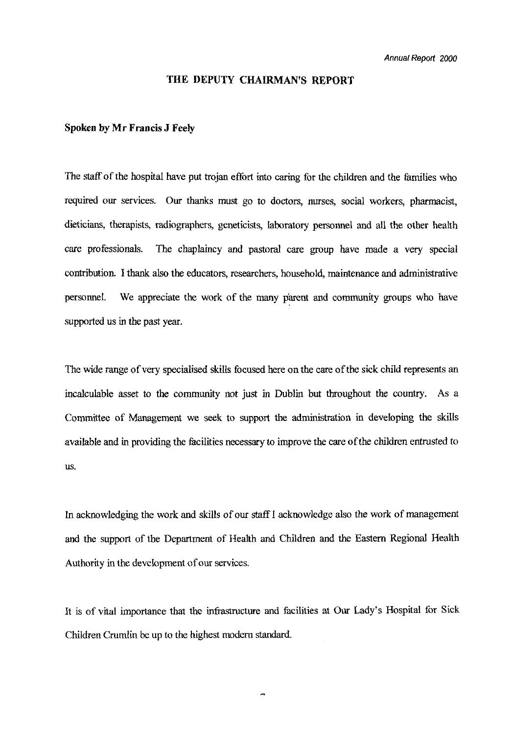## **THE DEPUTY CHAIRMAN'S REPORT**

## **Spoken by Mr Francis J Feely**

The staff of the hospital have put trojan effort into caring for the children and the families who required om services. Our thanks must go to doctors, nurses, social workers, pharmacist, dieticians, therapists, radiographers, geneticists, laboratory personnel and all the other health care professionals. The chaplaincy and pastoral care group have made a very special contribution I thank also the educators, researchers, household, maintenance and administrative personnel. We appreciate the work of the many parent and community groups who have supported us in the past year.

The wide range of very specialised skills focused here on the care of the sick child represents an incalculable asset to the community not just in Dublin but throughout the country. **As** a Committee of Management we seek to support the administration in developing the skills available and in providing the facilities necessary to improve the care ofthe children entrusted to **US.** 

In acknowledging the work and skills of our staff **l** acknowledge also the work of management and the support of the Department of Health and Children **and** the Eastern Regional Health Authority in the development of our services.

It is of vital importance that the infrastructure and facilities at Our Lady's Hospital for Sick Children Crumlin be up to the highest modern standard.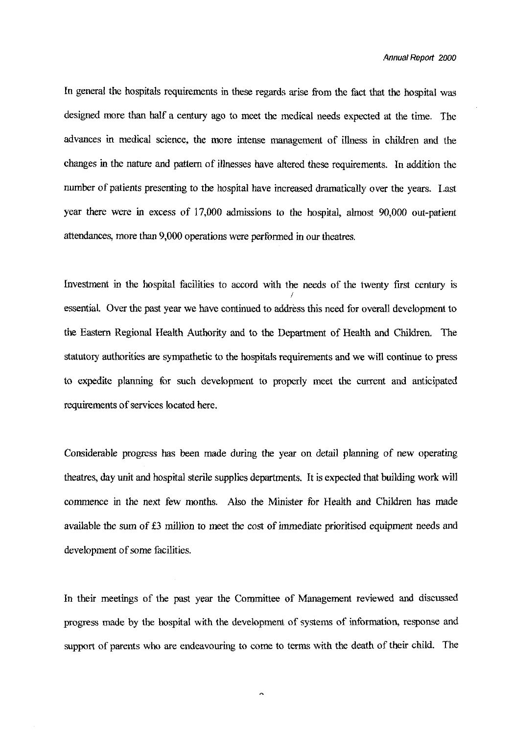In general the hospitals requirements in these regards arise from the fact that the hospital was designed more than half a century ago to meet the medical needs expected at the time. The advances in medical science, the more intense management of illness in children and the changes in the nature and pattern of illnesses have altered these requirements. In addition the number of patients presenting to the hospital have increased dramatically over the years. Last year there were in excess of 17,000 admissions to the hospital, almost 90,000 out-patient attendances, more than 9,000 operations were performed in our theatres.

Investment in the hospital facilities to accord with the needs of the twenty first century is essential. Over the past year we have continued to address this need for overall development to the Eastern Regional Health Authority and to the Department of Health and Children. The statutory authorities are sympathetic to the hospitals requirements and we will continue to press to expedite planning for such development to properly meet the current and anticipated requirements of services located here.

Considerable progress has been made during the year on detail planning of new operating theatres, day unit and hospital sterile supplies departments. It is expected that building work will commence in the next few months. Also the Minister for Health and Children has made available the sum of £3 million to meet the cost of immediate prioritised equipment needs and development of some facilities.

In their meetings of the past year the Committee of Management reviewed and discussed progress made by the hospital with the development of systems of information, response and support of parents who are endeavouring to come to tenns with the death of their child. The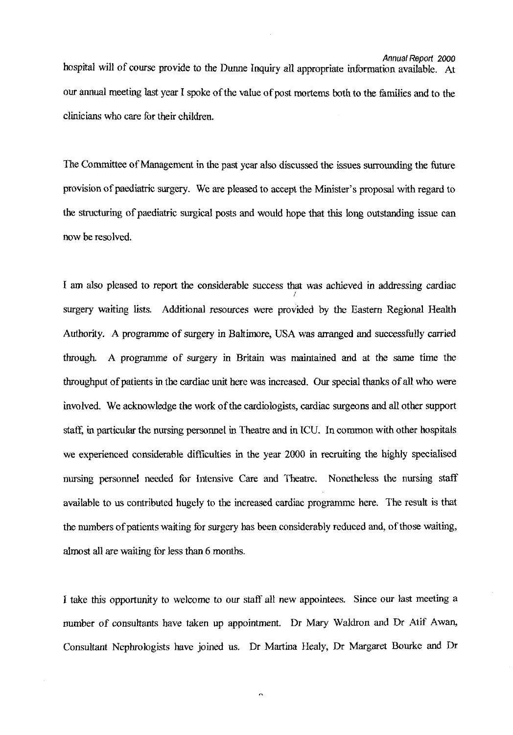hospital will of course provide to the Dunne Inquiry all appropriate information available. At our annual meeting last year I spoke of the value of post mortems both to the families and to the clinicians who care for their children.

The Committee of Management in the past year also discussed the issues surrounding the future provision of paediatric surgery. We are pleased to accept the Minister's proposal with regard to the structuring of paediatric surgical posts and would hope that this long outstanding issue can now be resolved.

I am also pleased to report the considerable success that was achieved in addressing cardiac I surgery waiting lists. Additional resources were provided by the Eastern Regional Health Authority. A programme of surgery in Baltimore, USA was arranged and successfully carried through, A programme of surgery in Britain was maintained and at the same time the throughput of patients in the cardiac unit here was increased. Our special thanks of all who were involved. We acknowledge the work of the cardiologists, cardiac surgeons and all other support staff, in particular the nursing personnel in Theatre and in ICU. In common with other hospitals we experienced considerable difficulties in the year 2000 in recruiting the highly specialised nursing personnel needed for Intensive Care and Theatre. Nonetheless the nursing staff available to us contributed hugely to the increased cardiac programme here. The result is that the numbers of patients waiting for surgery has been considerably reduced and, of those waiting, almost all are waiting for less than 6 months.

I take this opportunity to welcome to our staff all new appointees. Since our last meeting a number of consultants have taken up appointment. Dr Mary Waldron and Dr Atif Awan, Consultant Nephrologists have joined us. Dr Martha Healy, Dr Margaret Bourke and Dr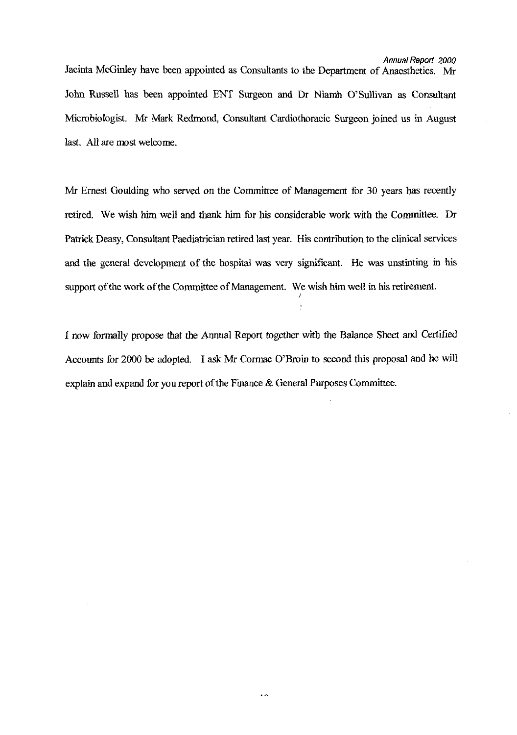#### **Annual Report 2000**

Jacinta McGinley have been appointed as Consultants to the Department of Anaesthetics. Mr John Russell has been appointed ENT Surgeon and Dr Niamh O'Sullivan as Consultant Microbiologist. **Mr** Mark Redmond, Consultant Cardiothoracic Surgeon joined us in August last. All are most welcome.

**Mr** Ernest Goulding who sewed on the Committee of Management for 30 years has recently retired. We wish him well and thank him for his considerable work with the Committee. Dr Patrick Deasy, Consultant Paediatrician retired last year. His contribution to the clinical services and the general development of the hospital was very significant. He was unstinting in his support of the work of the Committee of Management. We wish him well in his retirement.

I now formally propose that the Annual Report together with the Balance Sheet and Certified Accounts for 2000 be adopted. I ask Mr **Connac** O'Broin to second this proposal and he will explain and expand for you report of the Finance  $\&$  General Purposes Committee.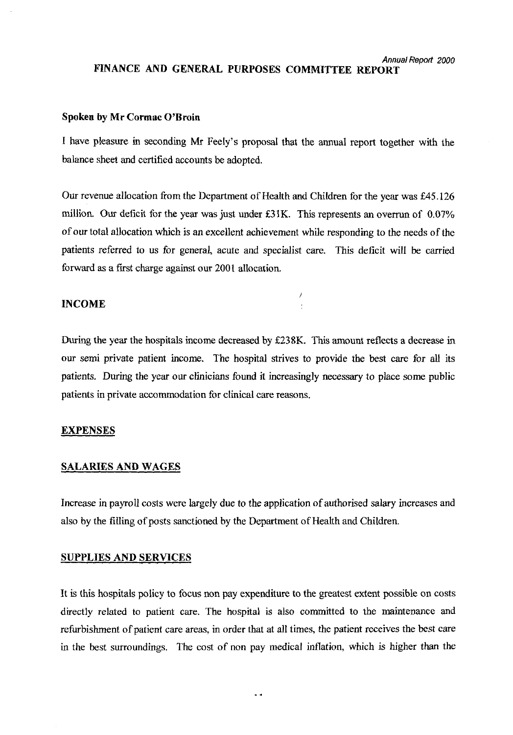#### **Annual Report 2000 FINANCE AND GENERAL PURPOSES COMMITTEE REPORT**

### **Spoken by Mr Cormac O'Broin**

I have pleasure in seconding **MI** Feely's proposal that the annual report together with the balance sheet and certified accounts be adopted.

Our revenue allocation fiom the Department of Health and Children for the year was £45.126 million. Our deficit for the year was just under £31K. This represents an overrun of 0.07% of our total allocation which is an excellent achievement while responding to the needs of the patients referred to us for general, acute and specialist care. This deficit will be carried forward as a first charge against our 2001 allocation.

i

## **INCOME**

During the year the hospitals income decreased by E238K. This amount reflects a decrease in our semi private patient income. The hospital strives to provide the best care for all its patients. During the year our clinicians found it increasingly necessary to place some public patients in private accommodation for clinical care reasons.

### **EXPENSES**

## **SALARIES AND WAGES**

Increase in payroll costs were largely due to the application of authorised salary increases and also by the filling of posts sanctioned by the Department of Health and Children.

## **SUPPLIES AND SERVICES**

It is this hospitals policy to focus non pay expenditure to the greatest extent possible on costs directly related to patient care. The hospital is also committed to the maintenance and refurbishment of patient care areas, in order that at all times, the patient receives the best care in the best surroundings. The cost of non pay medical inflation, which is higher than the

 $\sim$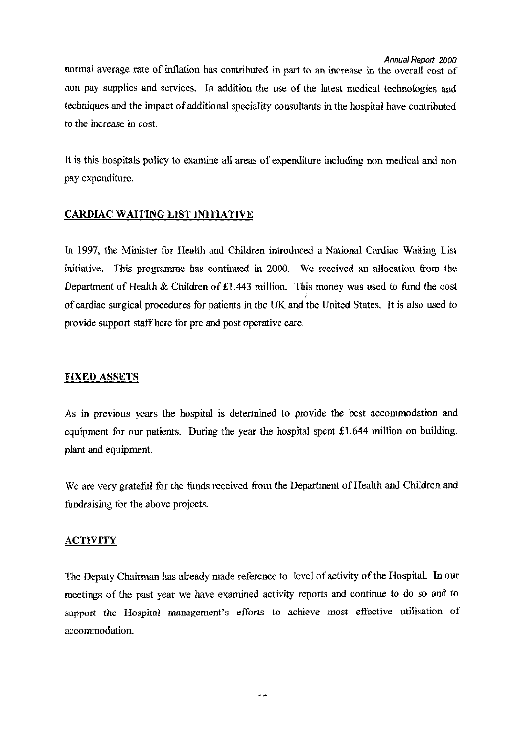**Annual Report 2000** 

normal average rate of inflation has contributed in part to an increase in the overall cost of non pay supplies and services. In addition the use of the latest medical technologies and techniques and the impact of additional speciality consultants in the hospital have contributed to the increase in cost.

It is this hospitals policy to examine all areas of expenditure including non medical and non pay expenditure.

# **CARDIAC WAITING LIST INITIATIVE**

In 1997, the Minister for Health and Children introduced a National Cardiac Waiting List initiative. This programme has continued in 2000. We received an allocation from the Department of Health & Children of £1.443 million. This money was used to fund the cost of cardiac surgical procedures for patients in the UK and the United States. It is also used to provide support staff here for pre and post operative care.

# **FIXED ASSETS**

As in previous years the hospital is determined to provide the best accommodation and equipment for our patients. During the year the hospital spent **£1.644** million on building, plant and equipment.

We are very grateful for the funds received fiom the Department of Health and Children and fundraising for the above projects.

# **ACTIVITY**

The Deputy Chairman has already made reference to level of activity of the Hospital. In our meetings of the past year we have examined activity reports and continue to do *so* and to support the Hospital management's efforts to achieve most effective utilisation of accommodation.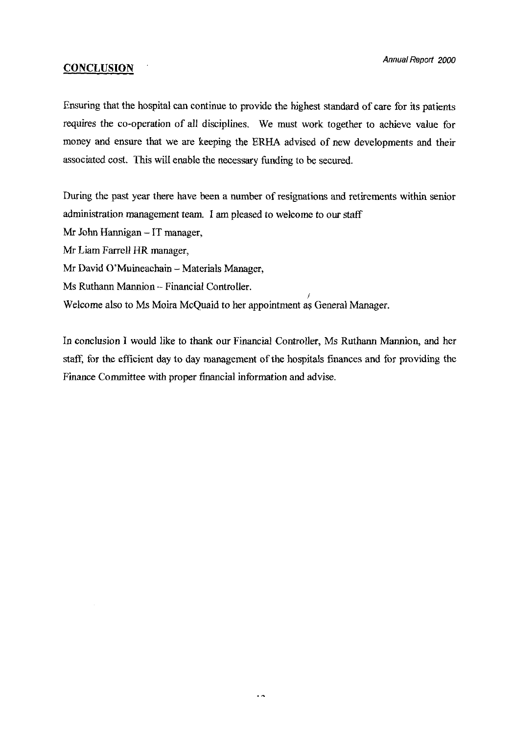# **CONCLUSION**

Ensuring that the hospital can continue to provide the highest standard of care for its patients requires the co-operation of all disciplines. We must work together to achieve value for money and ensure that we are keeping the ERHA advised of new developments and their associated cost. This will enable the necessary funding to be secured.

During the past year there have been a number of resignations and retirements within senior administration management team. I am pleased to welcome to our staff **MI** John Hannigan - IT manager, Mr Liam Farrell HR manager, Mr David O'Muineachain - Materials Manager, Ms Ruthann Mannion -- Financial Controller. Welcome also to Ms Moira McQuaid to her appointment as General Manager.

In conclusion I would like to thank our Financial Controller, Ms Ruthann Mannion, and her staff, for the efficient day to day management of the hospitals finances and for providing the Fiance Committee with proper financial information and advise.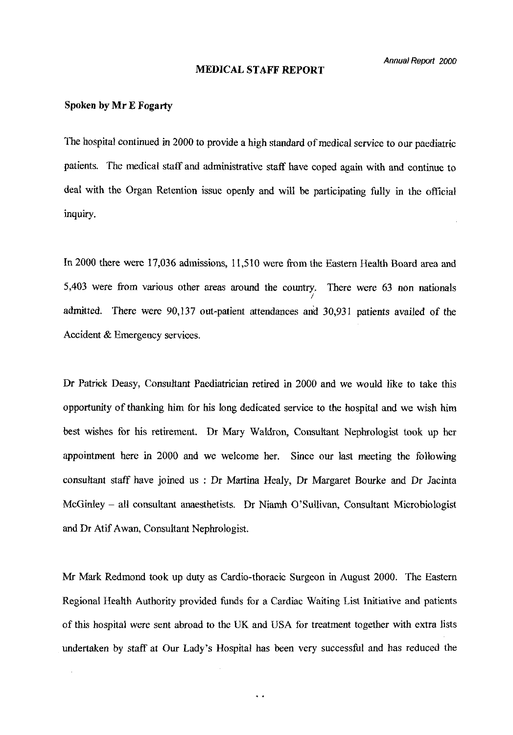#### **MEDICAL STAFF REPORT**

## **Spoken by Mr E Fogarty**

The hospital continued in 2000 to provide a high standard of medical service to our paediatric patients. The medical staff and administrative staff have coped again with and continue to deal with the Organ Retention issue openly and will be participating fully in the official inquiry.

In 2000 there were 17,036 admissions, 11,510 were from the Eastern Health Board area and 5,403 were ftom various other areas around the country. There were 63 non nationals admitted. There were 90,137 out-patient attendances **and** 30,931 patients availed of the Accident & Emergency services.

Dr Patrick Deasy, Consultant Paediatrician retired in 2000 and we would like to take this opportunity of thanking him for his long dedicated service to the hospital and we wish him best wishes for his retirement. Dr Mary Waldron, Consultant Nephrologist took up her appointment here in 2000 and we welcome her. Since our last meeting the following consultant staff have joined us : Dr Martina Healy, Dr Margaret Bourke and Dr Jacinta McGinley - all consultant anaesthetists. Dr Niamh O'Sullivan, Consultant Microbiologist and Dr Atif Awan, Consultant Nephrologist.

Mt Mark Redmond took up duty as Cardio-thoracic Surgeon in August 2000. The Eastern Regional Health Authority provided funds for a Cardiac Waiting List Initiative and patients of this hospital were sent abroad to the UK and USA for treatment together with extra lists undertaken by staff' at Our Lady's Hospital has been very successful and has reduced the

 $\ddot{\phantom{a}}$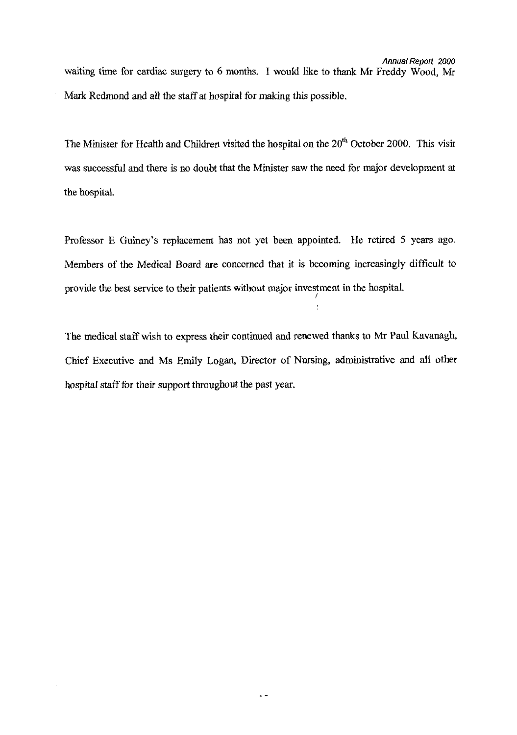The Minister for Health and Children visited the hospital on the **2oth** October 2000. This visit was successful and there is no doubt that the Minister saw the need for major development at the hospital.

Professor E Guiney's replacement has not yet been appointed. He retired 5 years ago. Members of the Medical Board are concerned that it is becoming increasingly difficult to provide the best service to their patients without major investment in the hospital.

The medical staff wish to express their continued and renewed thanks to Mr Paul Kavanagh, Chief Executive and Ms Emily Logan, Director of Nursing, administrative and all other hospital staff for their support throughout the past year.

 $\epsilon$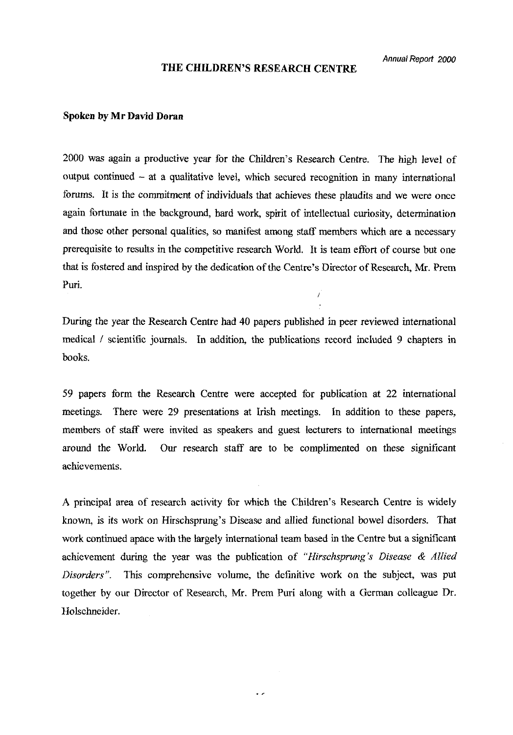### **THE CHILDREN'S RESEARCH CENTRE**

### **Spoken by Mr David Doran**

2000 was again a productive year for the Children's Research Centre. The high level of output continued  $-$  at a qualitative level, which secured recognition in many international forums. It is the commitment of individuals that achieves these plaudits and we were once again fortunate in the background, hard work, spirit of intellectual curiosity, determination and those other personal qualities, so manifest among staff members which are **a** necessary prerequisite to results in the competitive research World. It is team effort of course but one that is fostered and inspired by the dedication of the Centre's Director of Research, Mr. Prem Puri.

During the year the Research Centre had 40 papers published in peer reviewed international medical / scientific journals. In addition, the publications record included 9 chapters in books.

 $\overline{I}$ 

59 papers form the Research Centre were accepted for publication at 22 international meetings. There were 29 presentations at Irish meetings. In addition to these papers, members of staff were invited as speakers and guest lecturers to international meetings around the World. Our research staff are to be complimented on these significant achievements.

**A** principal area of research activity for which the Children's Research Centre is widely known, is its work on Hischsprung's Disease and allied functional bowel disorders. That work continued apace with the largely international team based in the Centre but a significant achievement during the year was the publication of *"Hirschsprung's Disease* & *Allied*  **Disorders".** This comprehensive volume, the definitive work on the subject, was put together by our Director of Research, Mr. Prem Puri along with a German colleague Dr. Holschneider.

 $\ddot{\phantom{0}}$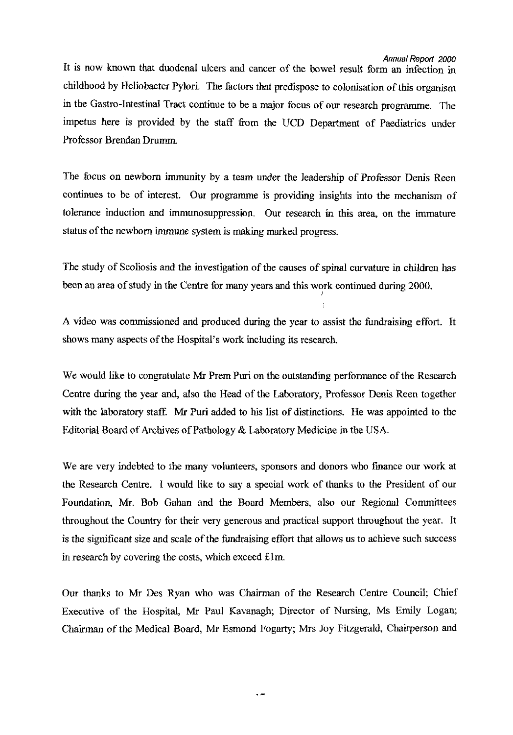#### **Annual Report** 2000

It is now known that duodenal ulcers and cancer of the bowel result form an infection in childhood by Heliobacter Pylori. The factors that predispose to colonisation of this organism in the Gastro-Intestinal Tract continue to be a major focus of our research programme. The impetus here is provided by the staff from the UCD Department of Paediatrics under Professor Brendan Drumrn.

The focus on newborn immunity by a team under the leadership of Professor Denis Reen continues to be of interest. Our programme is providing insights into the mechanism of tolerance induction and immunosuppression. Our research in this area, on the immature status of the newborn immune system is making marked progress.

The study of Scoliosis and the investigation of the causes of spinal curvature in children has been an area of study in the Centre for many years and this work continued during 2000.

1

A video was commissioned and produced during the year to assist the fundraising effort. It shows many aspects of the Hospital's work including its research.

We would like to congratulate Mr Prem Puri on the outstanding performance of the Research Centre during the year and, also the Head of the Laboratory, Professor Denis Reen together with the laboratory staff. Mr Puri added to his list of distinctions. He was appointed to the Editorial Board of Archives of Pathology & Laboratory Medicine in the USA.

We are very indebted to the many volunteers, sponsors and donors who finance our work at the Research Centre. I would like to say a special work of thanks to the President of our Foundation, *Mr.* Bob Gahan and the Board Members, also our Regional Committees throughout the Country for their very generous and practical support throughout the year. It is the significant size and scale of the fundraising effort that allows us to achieve such success in research by covering the costs, which exceed Elm.

Our thanks to *Mr* Des Ryan who was Chairman of the Research Centre Council; Chief Executive of the Hospital, Mr Paul Kavanagh; Director of Nursing, Ms Emily Logan; Chairman of the Medical Board, *Mr* Esmond Fogarty; Mrs Joy Fitzgerald, Chairperson and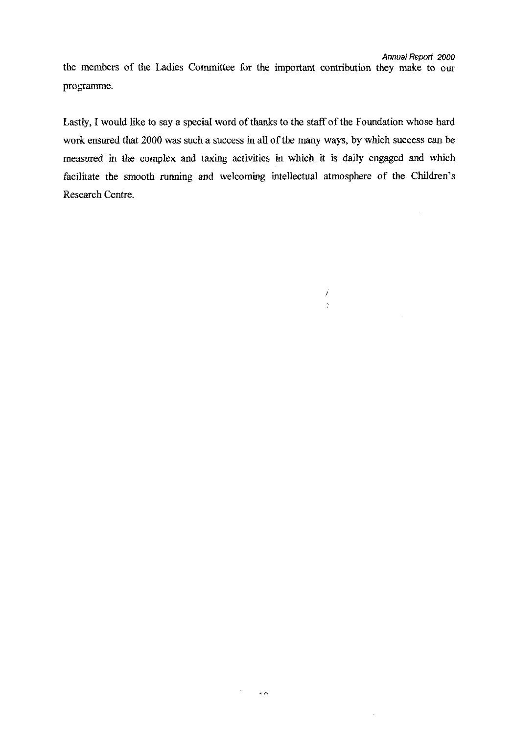$\hat{\boldsymbol{\beta}}$ 

the members of the Ladies Committee for the important contribution they make to our programme.

Lastly, I would like to say a special word of thanks to the staffof the Foundation whose hard work ensured that 2000 was such a success in all of the many ways, by which success can be measured in the complex and taxing activities in which it is daily engaged and which facilitate the smooth running and welcoming intellectual atmosphere of the Children's Research Centre.

 $\begin{array}{c} \mathcal{F} \\ 2 \end{array}$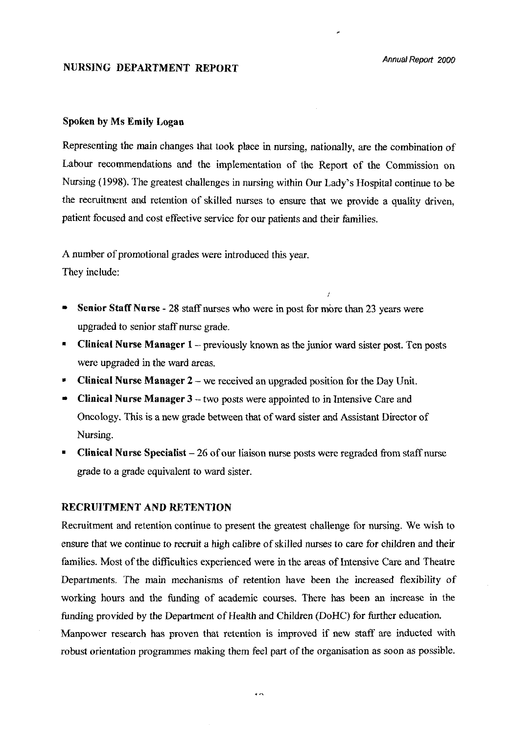## **NURSING DEPARTMENT REPORT**

## **Spoken by Ms Emily Logan**

Representing the main changes that took place in nursing, nationally, are the combination of Labour recommendations and the implementation of the Report of the Commission on Nursing (1998). The greatest challenges in nursing within Our Lady's Hospital continue to be the recruitment and retention of skilled nurses to ensue that we provide a quality driven, patient focused and cost effective service for our patients and their families.

A number of promotional grades were introduced this year. They include:

- **Senior Staff Nurse 28 staff nurses who were in post for more than 23 years were** upgraded to senior staff nurse grade.
- **Clinical Nurse Manager 1** previously known as the junior ward sister post. Ten posts were upgraded in the ward areas.
- **Clinical Nurse Manager 2** we received an upgraded position for the Day Unit.
- **Clinical Nurse Manager 3** two posts were appointed to in Intensive Care and Oncology. This is a new grade between that of ward sister and Assistant Director of Nursing.
- **Clinical Nurse Specialist**  26 of our liaison nurse posts were regraded from staff nurse grade to a grade equivalent to ward sister.

### **RECRUITMENT AND RETENTION**

Recruitment and retention continue to present the greatest challenge for nursing. We wish to ensure that we continue to recruit a high calibre of skilled nurses to care for children and their families. Most of the difficulties experienced were in the areas of Intensive Care and Theatre Departments. The main mechanisms of retention have been the increased flexibility of working hours and the hnding of academic courses. There has been an increase in the funding provided by the Department of Health and Children (DoHC) for hrther education. Manpower research has proven that retention is improved if new staff are inducted with robust orientation programmes making them feel part of the organisation as soon as possible.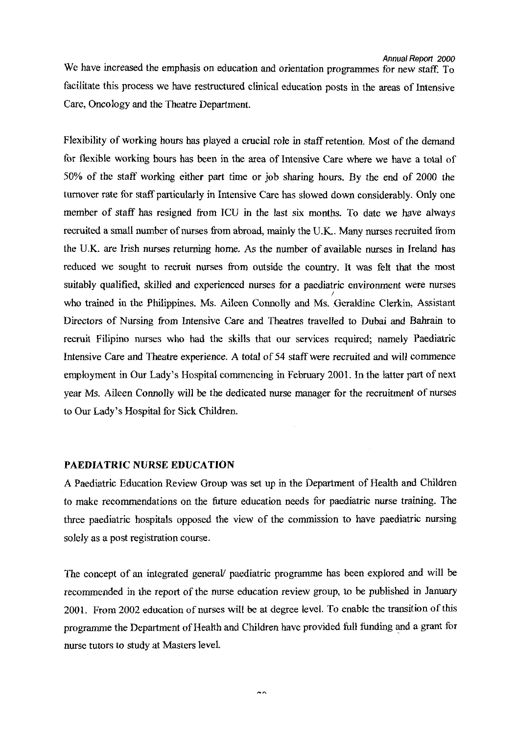We have increased the emphasis on education and orientation programmes for new staff. To facilitate this process we have restructured clinical education posts in the areas of Intensive Care, Oncology and the Theatre Department.

Flexibility of working hours has played a crucial role in staff retention. Most of the demand for flexible working hours has been in the area of Intensive Care where we have a total of 50% of the staff working either part time or job sharing hours. By the end of 2000 the turnover rate for staff particularly in Intensive Care has slowed down considerably. Only one member of staff has resigned ffom ICU in the last six months. To date we have always recruited a small number of nurses ffom abroad, mainly the U.K.. Many nurses recruited ffom the U.K. are Irish nurses returning home. As the number of available nurses in Ireland has reduced we sought to recruit nurses ffom outside the country. It was felt that the most suitably qualified, skilled and experienced nurses for a paediatric environment were nurses I who trained in the Philippines. Ms. Aileen Comolly and Ms. Geraldine Clerkin, Assistant Directors of Nursing ffom Intensive Care and Theatres travelled to Dubai and Bahrain to recruit Filipino nurses who had the skills that our services required; namely Paediatric Intensive Care and Theatre experience. **A** total of 54 staff were recruited and will commence employment in Our Lady's Hospital commencing in February 2001. In the latter part of next year Ms. Aileen Connolly will be the dedicated nurse manager for the recruitment of nurses to Our Lady's Hospital for Sick Children.

## **PAEDIATRlC NURSE EDUCATION**

**A** Paediatric Education Review Group was set up m the Department of Health and Children to make recommendations on the future education needs for paediatric nurse training. The three paediatric hospitals opposed the view of the commission to have paediatric nursing solely as a post registration course.

The concept of an integrated general/ paediatric programme has been explored and will be recommended in the report of the nurse education review group, to be published in January 2001. From 2002 education of nurses will be *at* degree level. To enable the transition of this programme the Department of Health and Children have provided full funding and a grant for nurse tutors to study at Masters level.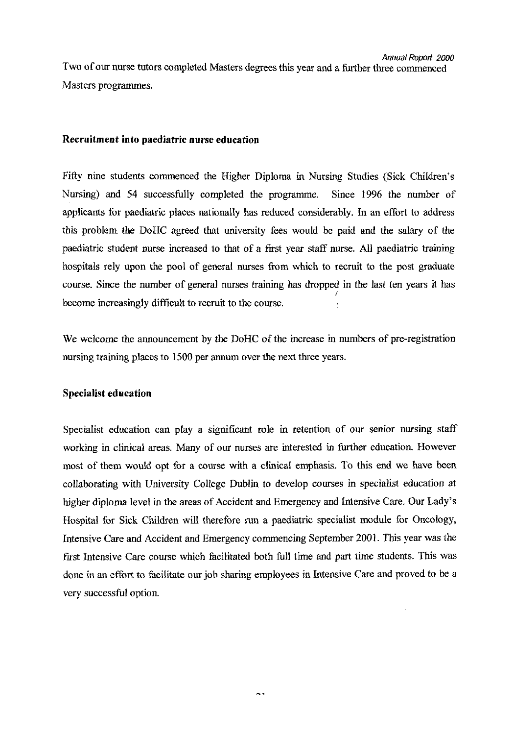Two of our nurse tutors completed Masters degrees this year and a further three commenced Masters programmes.

# **Recruitment into paediatric nurse education**

Fifty nine students commenced the Higher Diploma in Nursing Studies (Sick Children's Nursing) and 54 successfully completed the programme. Since 1996 the number of applicants for paediatric places nationally has reduced considerably. In an effort to address this problem the DoHC agreed that university fees would be paid and the salary of the paediatric student nwse increased to that of a first year staff nurse. All paediatric training hospitals rely upon the pool of general nurses from which to recruit to the post graduate course. Since the number of general nurses training has dropped in the last ten years it has I become increasingly difficult to recruit to the course.

We welcome the announcement by the DoHC of the increase in numbers of pre-registration nursing training places to 1500 per annum over the next three years.

# **Specialist education**

Specialist education can play a significant role in retention of our senior nursing staff working in clinical areas. Many of ow nwses are interested in further education. However most of them would opt for a cowse with a clinical emphasis. To this end we have been collaborating with University College Dublin to develop courses in specialist education at higher diploma level in the areas of Accident and Emergency and Intensive Care. Ow Lady's Hospital for Sick Children will therefore run a paediatric specialist module for Oncology, Intensive Care and Accident and Emergency commencing September 2001. This year was the first Intensive Care course which facilitated both full time and part time students. This was done in an effort to facilitate our job sharing employees in Intensive Care and proved to be a very successful option.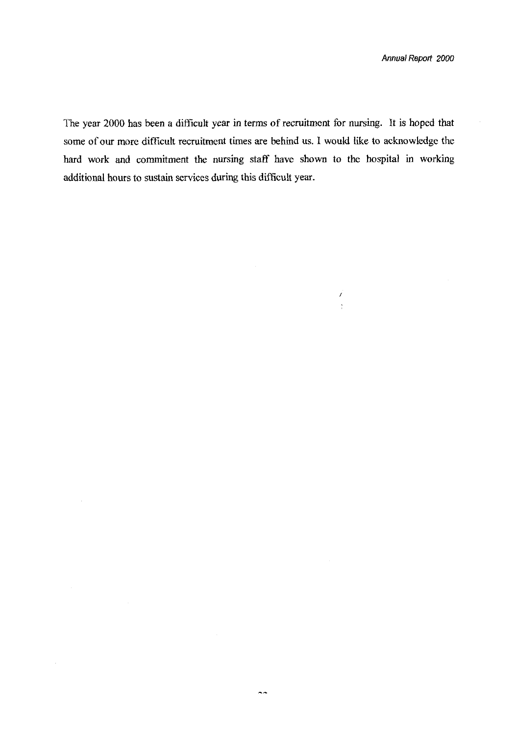The year 2000 has been a difficult year in terms of recruitment for nursing. It is hoped that some of our more difficult recruitment times are behind us. I would like to acknowledge the hard work and commitment the nursing staff have shown to the hospital in working additional hours to sustain services during this difficult year.

> Î  $\frac{1}{2}$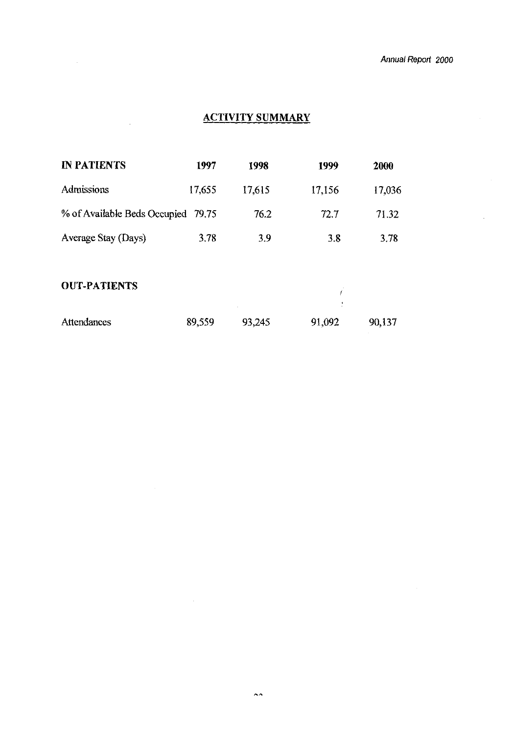# **ACTIVITY SUMMARY**

| <b>IN PATIENTS</b>                 | 1997   | 1998   | 1999   | <b>2000</b> |
|------------------------------------|--------|--------|--------|-------------|
| <b>Admissions</b>                  | 17,655 | 17,615 | 17,156 | 17,036      |
| % of Available Beds Occupied 79.75 |        | 76.2   | 72.7   | 71.32       |
| Average Stay (Days)                | 3.78   | 3.9    | 3.8    | 3.78        |

# **OUT-PATIENTS**

| <b>UUI-PATIENTS</b> |        |        |        |        |
|---------------------|--------|--------|--------|--------|
|                     |        |        |        |        |
| <b>Attendances</b>  | 89.559 | 93,245 | 91,092 | 90,137 |

 $\mathcal{L}^{\text{max}}_{\text{max}}$  and  $\mathcal{L}^{\text{max}}_{\text{max}}$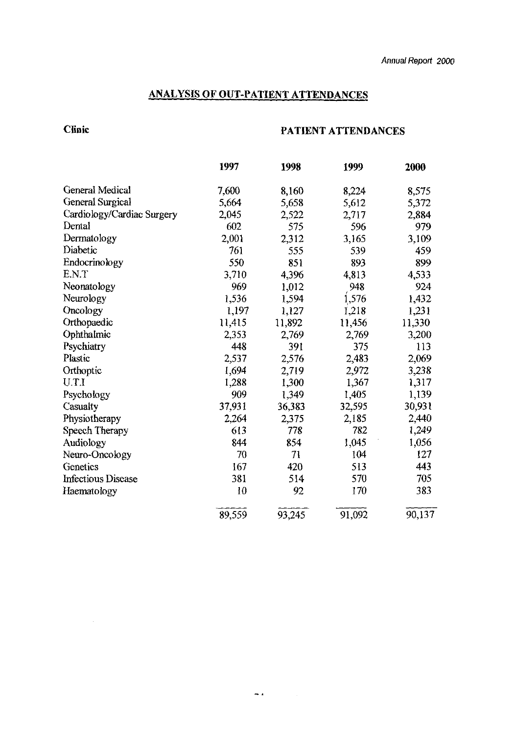# **ANALYSIS OF OUT-PATIENT ATTENDANCES**

**Clinic** 

# **PATIENT ATTENDANCES**

|                            | 1997   | 1998   | 1999   | 2000   |
|----------------------------|--------|--------|--------|--------|
| <b>General Medical</b>     | 7,600  | 8,160  | 8,224  | 8,575  |
| <b>General Surgical</b>    | 5,664  | 5,658  | 5,612  | 5,372  |
| Cardiology/Cardiac Surgery | 2,045  | 2,522  | 2,717  | 2,884  |
| Dental                     | 602    | 575    | 596    | 979    |
| Dermatology                | 2,001  | 2,312  | 3,165  | 3,109  |
| Diabetic                   | 761    | 555    | 539    | 459    |
| Endocrinology              | 550    | 851    | 893    | 899    |
| E.N.T                      | 3,710  | 4,396  | 4,813  | 4,533  |
| Neonatology                | 969    | 1,012  | 948    | 924    |
| Neurology                  | 1,536  | 1,594  | 1,576  | 1,432  |
| Oncology                   | 1,197  | 1,127  | 1,218  | 1,231  |
| Orthopaedic                | 11,415 | 11,892 | 11,456 | 11,330 |
| Ophthalmic                 | 2,353  | 2,769  | 2,769  | 3,200  |
| Psychiatry                 | 448    | 391    | 375    | 113    |
| Plastic                    | 2,537  | 2,576  | 2,483  | 2,069  |
| Orthoptic                  | 1,694  | 2,719  | 2,972  | 3,238  |
| U.T.I                      | 1,288  | 1,300  | 1,367  | 1,317  |
| Psychology                 | 909    | 1,349  | 1,405  | 1,139  |
| Casualty                   | 37,931 | 36,383 | 32,595 | 30,931 |
| Physiotherapy              | 2,264  | 2,375  | 2,185  | 2,440  |
| Speech Therapy             | 613    | 778    | 782    | 1,249  |
| Audiology                  | 844    | 854    | 1,045  | 1,056  |
| Neuro-Oncology             | 70     | 71     | 104    | 127    |
| Genetics                   | 167    | 420    | 513    | 443    |
| <b>Infectious Disease</b>  | 381    | 514    | 570    | 705    |
| Haematology                | 10     | 92     | 170    | 383    |
|                            | 89,559 | 93,245 | 91,092 | 90,137 |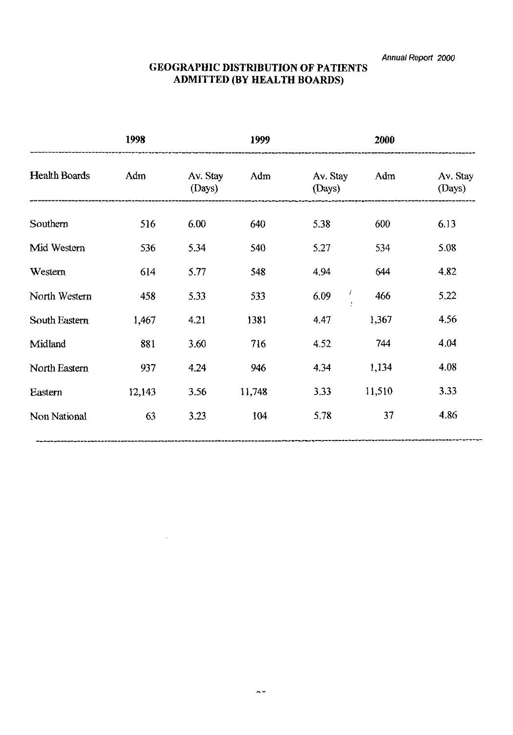# **GEOGRAPHIC DISTRIBUTION OF PATIENTS ADMITTED (BY HEALTH BOARDS)**

|                      | 1998   |                    | 1999   |                    | 2000   |                    |
|----------------------|--------|--------------------|--------|--------------------|--------|--------------------|
| <b>Health Boards</b> | Adm    | Av. Stay<br>(Days) | Adm    | Av. Stay<br>(Days) | Adm    | Av. Stay<br>(Days) |
| Southern             | 516    | 6.00               | 640    | 5.38               | 600    | 6.13               |
| Mid Western          | 536    | 5.34               | 540    | 5.27               | 534    | 5.08               |
| Western              | 614    | 5.77               | 548    | 4.94               | 644    | 4.82               |
| North Western        | 458    | 5.33               | 533    | Ť<br>6.09          | 466    | 5.22               |
| South Eastern        | 1,467  | 4.21               | 1381   | 4.47               | 1,367  | 4.56               |
| Midland              | 881    | 3.60               | 716    | 4.52               | 744    | 4.04               |
| North Eastern        | 937    | 4.24               | 946    | 4.34               | 1,134  | 4.08               |
| Eastern              | 12,143 | 3.56               | 11,748 | 3.33               | 11,510 | 3.33               |
| Non National         | 63     | 3.23               | 104    | 5.78               | 37     | 4.86               |

 $\sim 10$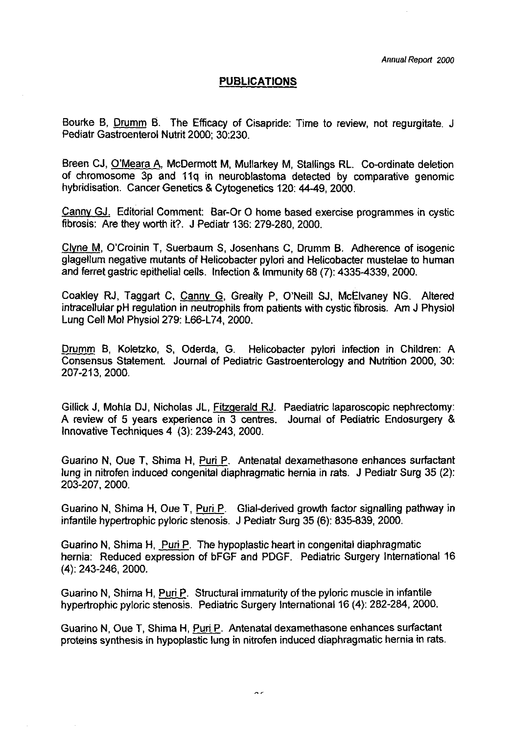## **PUBLICATIONS**

Bourke B, Drumm B. The Efficacy of Cisapride: Time to review, not regurgitate. J Pediatr Gastroenterol Nutrit 2000; 30:230.

Breen CJ, <u>O'Meara A,</u> McDermott M, Mullarkey M, Stallings RL. Co-ordinate deletion<br>of chromosome 3p and 11q in neuroblastoma detected by comparative genomic hybridisation. Cancer Genetics & Cytogenetics 120: 44-49, 2000.

Cannv GJ. Editorial Comment: Bar-Or 0 home based exercise programmes in cystic fibrosis: Are they worth it?. J Pediatr 136: 279-280, 2000.

Clyne M, O'Croinin T, Suerbaum S, Josenhans C, Drumm B. Adherence of isogenic glagellum negative mutants of Helicobacter pylori and Helicobacter mustelae to human and ferret gastric epithelial cells. Infection & Immunity 68 (7): 4335-4339,2000.

Coakley RJ, Taggart C, Canny G, Greally P, O'Neill SJ, McElvaney NG. Altered intracellular pH regulation in neutrophils from patients with cystic %brosis. Am J Physiol Lung Cell Mol Physio1279: L66-L74,2000.

Drumm B, Koletzko, S, Oderda, G. Helicobacter pylori infection in Children: A Consensus Statement. Journal of Pediatric Gastroenteroloav and Nutrition 2000. 30: 207-213, 2000.

Gillick J, Mohla DJ, Nicholas JL, Fitzgerald RJ. Paediatric laparoscopic nephrectomy: A review of 5 years experience in 3 centres. Journal of Pediatric Endosurgery & Innovative Techniques 4 (3): 239-243, 2000.

Guarino N, Oue T, Shima H, Puri P. Antenatal dexamethasone enhances surfactant lung in nitrofen induced congenital diaphragmatic hernia in rats. J Pediatr Surg 35 (2): 203-207,2000.

Guarino N, Shima H, Oue T, Puri P. Glial-derived growth factor signalling pathway in infantile hypertrophic pyloric stenosis. J Pediatr Surg 35 **(6):** 835-839, 2000.

Guarino N, Shima H, Puri P. The hypoplastic heart in congenital diaphragmatic hernia: Reduced expression of bFGF and PDGF. Pediatric Surgery International 16 **(4):** 243-246, 2000.

Guarino N, Shima H, *Puri P.* Structural immaturity of the pyloric muscle in infantile hypertrophic pyloric stenosis. Pediatric Surgery International 16 (4): 282-284, 2000.

Guarino N, Oue T, Shima H, *Puri P.* Antenatal dexamethasone enhances surfactant proteins synthesis in hypoplastic lung in nitrofen induced diaphragmatic hernia in rats.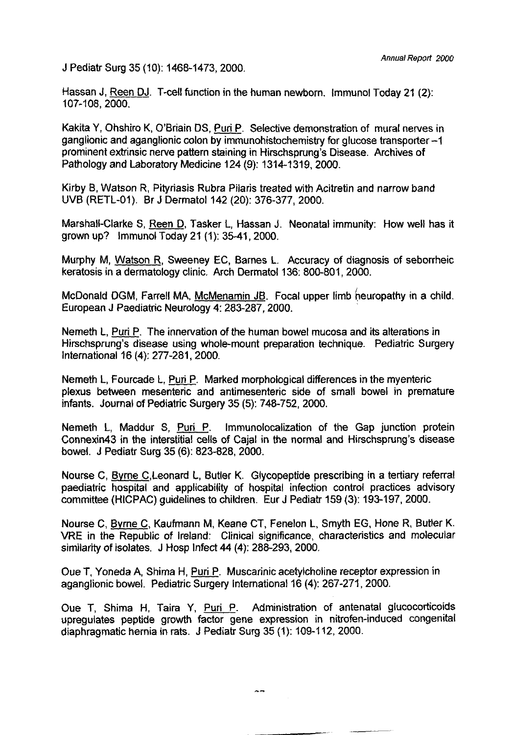J Pediatr Surg 35 (10): 1468-1473, 2000.

Hassan J, Reen DJ. T-cell function in the human newborn. lmmunol Today 21 (2): 107-108.2000.

Kakita Y, Ohshiro K, O'Briain DS, Puri P. Selective demonstration of mural nerves in ganglionic and aganglionic colon by immunohistochemistry for glucose transporter -1 orominent extrinsic nerve oattern stainina in Hirschsowna's Disease. Archives of Pathology and Laboratory Medicine 124 (9): 1314-1319, 2000.

Kirby B, Watson **R,** Pityriasis Rubra Pilaris treated with Acitretin and narrow band UVB (RETL-01). Br J Dermatol 142 (20): 376-377,2000.

Marshall-Clarke S, Reen D, Tasker L, Hassan J. Neonatal immunity: How well has it grown up? lmmunol Today 21 (1): 3541,2000.

Murphy M, Watson R, Sweeney EC, Barnes L. Accuracy of diagnosis of seborrheic keratosis in a dermatology clinic. Arch Dermatol 180: 800-801, 2000.

McDonald DGM, Farrell MA, McMenamin JB. Focal upper limb neuropathy in a child. European J Paediatric Neurology 4: 283-287,2000.

Nemeth L, Puri P. The innervation of the human bowel mucosa and its alterations in Hirschsprung's disease using whole-mount preparation technique. Pediatric Surgery International 16 (4): 277-281, 2000.

Nemeth L, Fourcade L, Puri P. Marked morphological differences in the myenteric plexus between mesenteric and antimesenteric side of small bowel in premature infants. Journal of Pediatric Surgery 35 (5): 748-752, 2000.

Nemeth L, Maddur S, Puri P. lmmunolocalization of the Gap junction protein Connexin43 in the interstitial cells of Cajal in the normal and Hirschsprung's disease bowel. J Pediatr Surg 35 (6): 823-828, 2000.

Nourse C, Bvrne C,Leonard L, Butler K. Glycopeptide prescribing in a tertiary referral paediatric hospital and applicability of hospital infection control practices advisory committee (HICPAC) guidelines to children. Eur J Pediatr 159 (3): 193-197, 2000.

Nourse C, Bvrne C, Kaufmann M, Keane CT, Fenelon L, Smyth EG, Hone R, Butler K. VRE in the Republic of Ireland: Clinical significance, characteristics and molecular similarity of isolates. J Hosp Infect **44** (4): 288-293,2000.

Oue T, Yoneda A, Shima H, Puri P. Muscarinic acetylcholine receptor expression in aganglionic bowel. Pediatric Surgery International 16 (4): 267-271, 2000.

Oue T, Shima H, Taira Y, Puri P. Administration of antenatal glucocorticoids upregulates peptide growth factor gene expression in nitrofen-induced congenital diaphragmatic hernia in rats. J Pediatr Surg 35 (1): 109-112, 2000.

--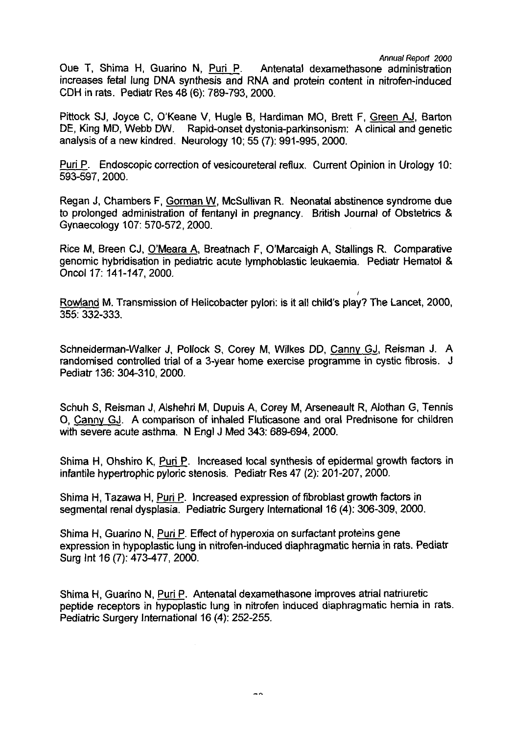**Annual Report 2000** 

Oue T, Shima H, Guarino N, Puri P. Antenatal dexamethasone administration increases fetal lung DNA synthesis and RNA and protein content in nitrofen-induced CDH in rats. Pediatr Res 48 (6): 789-793,2000.

Pittock SJ, Joyce C, O'Keane V, Hugle 6, Hardiman MO, Brett F, Green AJ, Barton DE, King MD, Webb DW. Rapid-onset dystonia-parkinsonism: A clinical and genetic analysis of a new kindred. Neurology 10; 55 (7): 991-995, 2000.

Puri P. Endoscopic correction of vesicoureteral reflux. Current Opinion in Urology 10: 593-597,2000,

Regan J, Chambers F, Gorman W, McSullivan R. Neonatal abstinence syndrome due to prolonged administration of fentanyl in pregnancy. British Journal of Obstetrics & Gynaecology 107: 570-572,2000.

Rice M, Breen CJ, O'Meara A, Breatnach F, O'Marcaigh A, Stallings R. Comparative genomic hybridisation in pediatric acute lymphoblastic leukaemia. Pediatr Hematol & Oncol 17: 141-147, 2000.

Rowland M. Transmission of Helicobacter pylori: is it all child's play? The Lancet, 2000, 355: 332-333.

Schneiderman-Walker J, Pollock S, Corey M, Wilkes DD, Canny GJ, Reisman J. A randomised controlled trial of a 3-year home exercise programme in cystic fibrosis. J Pediatr 136: 304-310, 2000.

Schuh S, Reisman J, Alshehri M, Dupuis A, Corey M, Arseneault R, Alothan G, Tennis 0, Cannv GJ. A comparison of inhaled Fluticasone and oral Prednisone for children with severe acute asthma. N Engl J Med 343: 689-694, 2000.

Shima H, Ohshiro K, Puri P. Increased local synthesis of epidermal growth factors in infantile hypertrophic pyloric stenosis. Pediatr Res 47 (2): 201-207, 2000.

Shima H, Tazawa H, Puri P. Increased expression of fibroblast growth factors in segmental renal dysplasia. Pediatric Surgery International 16 (4): 306-309, 2000.

Shima H, Guarino N, *Puri P.* Effect of hyperoxia on surfactant proteins gene expression in hypoplastic lung in nitrofen-induced diaphragmatic hernia in rats. Pediatr Surg lnt 16 (7): 473-477, 2000.

Shima H, Guarino N, Puri P. Antenatal dexamethasone improves atrial natriuretic peptide receptors in hypoplastic lung in nitrofen induced diaphragmatic hernia in rats. Pediatric Surgery International 16 **(4):** 252-255.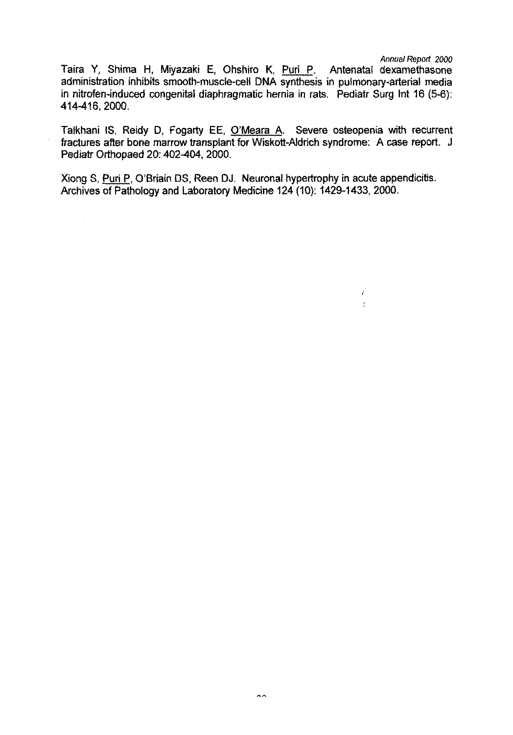#### **Annual Report 2000**

Ť  $\bar{Y}$ 

Taira Y, Shima H, Miyazaki E, Ohshiro K, Puri P. Antenatal dexamethasone administration inhibits smooth-muscle-cell DNA synthesis in pulmonary-arterial media in nitrofen-induced congenital diaphragmatic hernia in rats. Pediatr Surg lnt 16 (5-6): 414416,2000.

Talkhani IS, Reidy D, Fogarty EE, O'Meara A. Severe osteopenia with recurrent fractures after bone marrow transplant for Wiskott-Aldrich syndrome: A case report. J Pediatr Orthopaed 20: 402-404, 2000.

Xiong S, **WP,** O'Briain DS, Reen DJ. Neuronal hypertrophy in acute appendicitis. Archives of Pathology and Laboratory Medicine 124 (10): 1429-1433, 2000.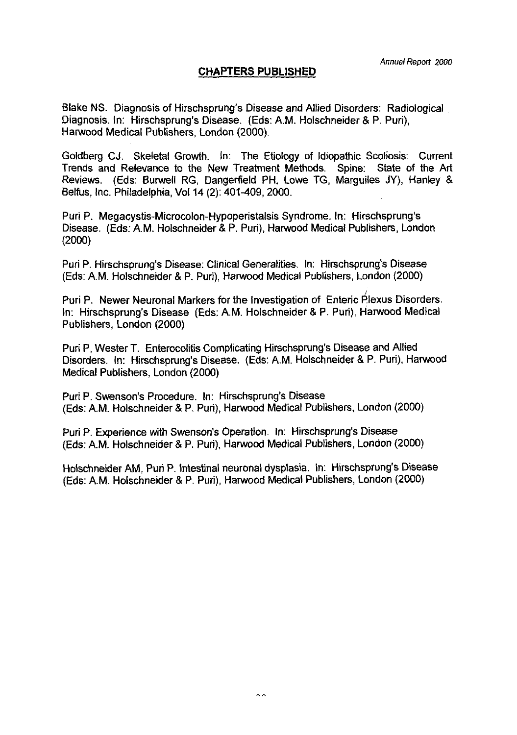# **CHAPTERS PUBLISHED**

Blake NS. Diagnosis of Hirschsprung's Disease and Allied Disorders: Radiological Diagnosis. In: Hirschsprung's Disease. (Eds: A.M. Holschneider & P. Puri), Harwood Medical Publishers, London (2000).

Goldberg CJ. Skeletal Growth. In: The Etiology of Idiopathic Scoliosis: Current Trends and Relevance to the New Treatment Methods. Spine: State of the Art Reviews. (Eds: Burwell RG, Dangerfield PH, Lowe TG, Marguiles JY), Hanley & Belfus, Inc. Philadelphia, Vol 14 (2): 401-409, 2000.

Puri P. Megacystis-Microcolon-Hypoperistalsis Syndrome. In: Hirschsprung's Disease. (Eds: A.M. Holschneider & P. Puri), Harwood Medical Publishers, London  $(2000)$ 

Puri P. Hirschsprung's Disease: Clinical Generalities. In: Hirschsprung's Disease (Eds: A.M. Holschneider & P. Puri), Harwood Medical Publishers, London (2000)

Puri P. Newer Neuronal Markers for the Investigation of Enteric Plexus Disorders. In: Hirschsprung's Disease (Eds: A.M. Holschneider & P. Puri), Harwood Medical Publishers, London (2000)

Puri P, Wester T. Enterocolitis Complicating Hirschsprung's Disease and Allied Disorders. In: Hirschsprung's Disease. (Eds: A.M. Holschneider & P. Puri), Harwood Medical Publishers, London (2000)

Puri P. Swenson's Procedure. In: Hirschsprung's Disease (Eds: A.M. Holschneider & P. Puri), Harwood Medical Publishers, London (2000)

Puri P. Experience with Swenson's Operation. In: Hirschsprung's Disease (Eds: A.M. Holschneider & **P.** Puri), Harwood Medical Publishers, London (2000)

Holschneider AM, Puri P. Intestinal neuronal dysplasia. In: Hirschsprung's Disease (Eds: A.M. Holschneider & P. Puri), Harwood Medical Publishers, London (2000)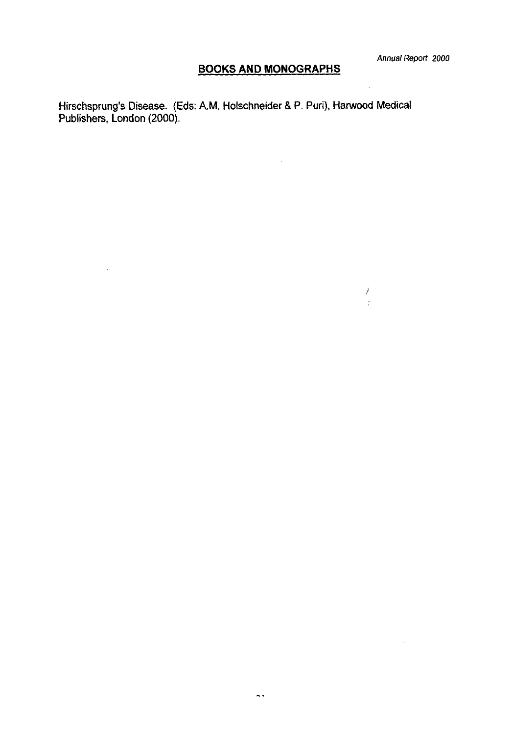$\frac{\lambda}{\lambda}$ 

 $\sim$ 

# **BOOKS AND MONOGRAPHS**

Hirschsprung's Disease. (Eds: A.M. Holschneider & P. Puri), Harwood Medical Publishers, London (2000).

 $\sim 10^{-11}$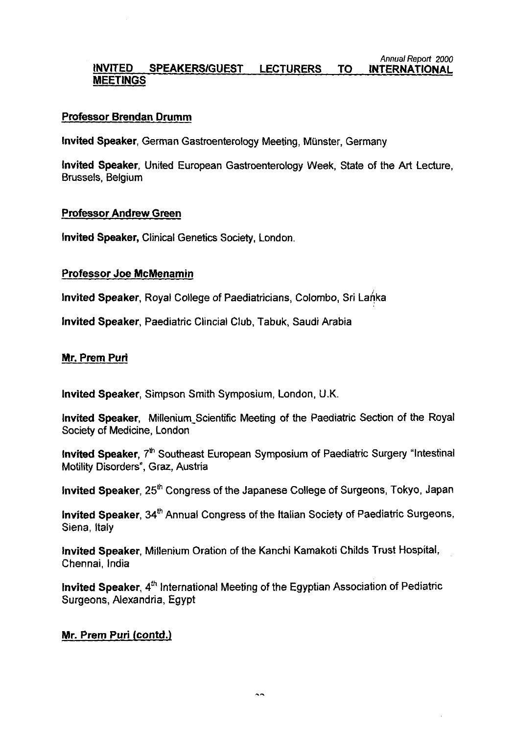## Annual **Report** 2000 INVITED SPEAKERS/GUEST LECTURERS TO MEETINGS

# Professor Brendan Drumm

lnvited Speaker, German Gastroenterology Meeting, Munster, Germany

lnvited Speaker, United European Gastroenterology Week, State of the Art Lecture, Brussels, Belgium

# Professor Andrew Green

lnvited Speaker, Clinical Genetics Society, London.

# Professor Joe McMenamin

Invited Speaker, Royal College of Paediatricians, Colombo, Sri Lanka

lnvited Speaker, Paediatric Clincial Club, Tabuk, Saudi Arabia

# Mr. Prem Puri

lnvited Speaker, Simpson Smith Symposium, London, U.K.

lnvited Speaker, Millenium-Scientific Meeting of the Paediatric Section of the Royal Society of Medicine, London

lnvited Speaker, **7m** Southeast European Symposium of Paediatric Surgery "Intestinal Motility Disorders", Graz, Austria

lnvited Speaker, **251h** Congress of the Japanese College of Surgeons, Tokyo, Japan

lnvited Speaker, **34"** Annual Congress of the Italian Society of Paediatric Surgeons, Siena, Italy

lnvited Speaker, Millenium Oration of the Kanchi Kamakoti Childs Trust Hospital, Chennai, India

lnvited Speaker, 4" International Meeting of the Egyptian Association of Pediatric Surgeons, Alexandria, Egypt

# Mr. Prem Puri (contd.]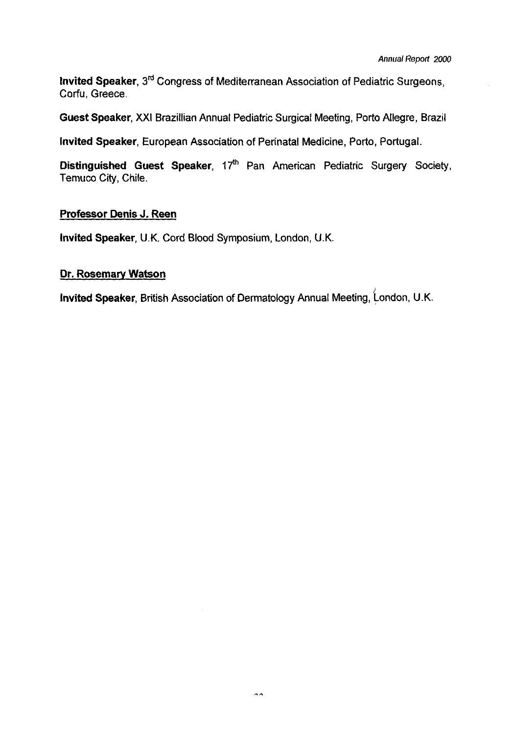**lnvited Speaker, 3\*** Congress of Mediterranean Association of Pediatric Surgeons, Corfu, Greece.

**Guest Speaker,** XXI Brazillian Annual Pediatric Surgical Meeting, Porto Allegre, Brazil

**lnvited Speaker,** European Association of Perinatal Medicine, Porto, Portugal.

**Distinguished Guest Speaker, 17<sup>th</sup> Pan American Pediatric Surgery Society,** Temuco City, Chile.

# **Professor Denis J. Reen**

**Invited Speaker,** U.K. Cord Blood Symposium, London, U.K

# **Dr. Rosemarv Watson**

/ **lnvited Speaker,** British Association of Dermatology Annual Meeting, London, U.K.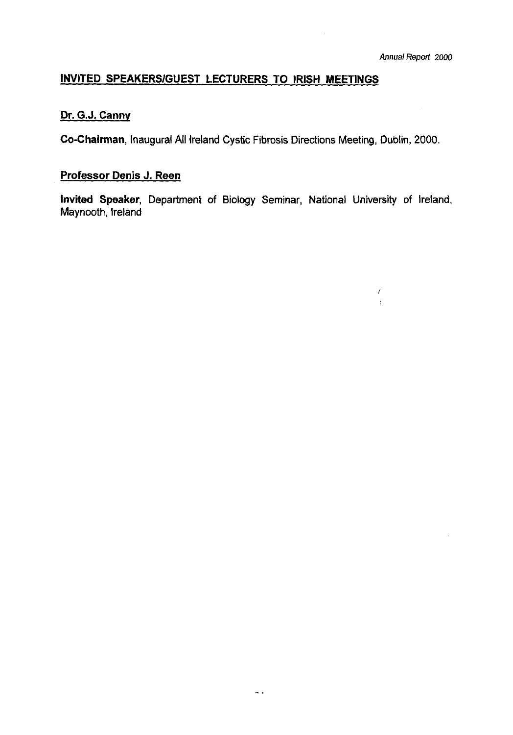$\hat{\boldsymbol{\beta}}$ 

Ĺ  $\bar{t}$ 

# **INVITED SPEAKERSlGUEST LECTURERS TO IRISH MEETINGS**

# **Dr. G.J. Canny**

**Cochairman, Inaugural All Ireland Cystic Fibrosis Directions Meeting, Dublin,** 2000.

# **Professor Denis J. Reen**

**invited Speaker, Department of Biology Seminar, National University of lreland, Maynooth, Ireland**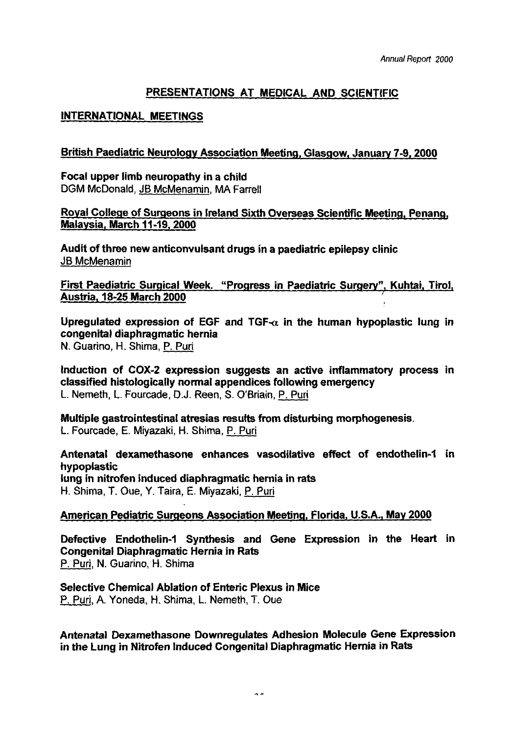# PRESENTATIONS AT MEDICAL AND SCIENTIFIC

# INTERNATIONAL MEETINGS

# British Paediatric Neurology Association Meeting, Glasgow, January 7-9, 2000

Focal upper limb neuropathy in a child DGM McDonald, JB McMenamin, MA Farrell

# Royal College of Surgeons in Ireland Sixth Overseas Scientific Meeting, Penang. Malavsia. March 11-19,2000

Audit of three new anticonvulsant drugs in a paediatric epilepsy clinic JB McMenamin

First Paediatric Surgical Week. "Progress in Paediatric Surgery", Kuhtai, Tirol, Austria, 18-25 March 2000

Upregulated expression of EGF and TGF- $\alpha$  in the human hypoplastic lung in congenital diaphragmatic hernia N. Guarino, H. Shima, P. Puri

Induction of COX-2 expression suggests an active inflammatory process in classified histologically normal appendices following emergency L. Nemeth, L. Fourcade, D.J. Reen, S. O'Briain, P. Puri

Multiple gastrointestinal atresias results from disturbing morphogenesis. L. Fourcade, E. Miyazaki, H. Shima,

Antenatal dexamethasone enhances vasodilative effect of endothelin-I in hypoplastic lung in nitrofen induced diaphragmatic hernia in rats H. Shima, T. Oue, **Y.** Taira, E. Miyazaki,

# American Pediatric Surgeons Association Meeting, Florida, U.S.A., May 2000

Defective Endothelin-I Synthesis and Gene Expression in the Heart in Congenital Diaphragmatic Hernia in Rats Defective Endothelin-1 Sy<br>Congenital Diaphragmatic H<br><u>P. Puri,</u> N. Guarino, H. Shima

**Selective Chemical Ablation of Enteric Plexus**<br>P. Puri, A. Yoneda, H. Shima, L. Nemeth, T. Oue Selective Chemical Ablation of Enteric Plexus in Mice

Antenatal Dexamethasone Downregulates Adhesion Molecule Gene Expression in the Lung in Nitrofen Induced Congenital Diaphragmatic Hernia in Rats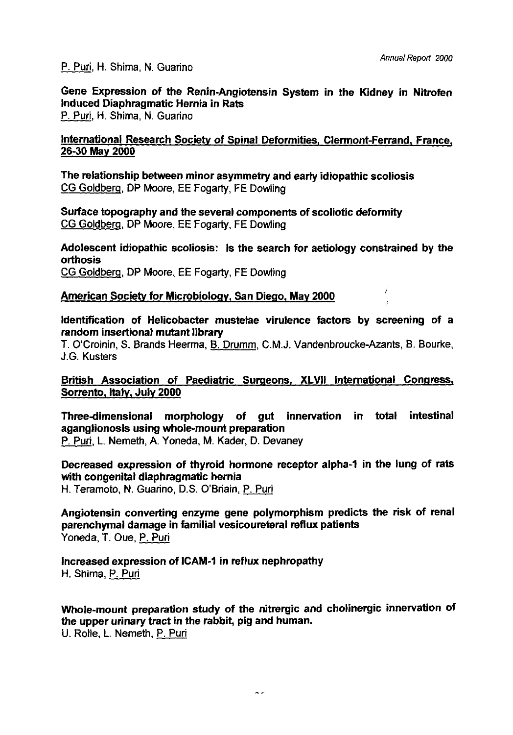P., Puri, H. Shima, N. Guarino

Gene Expression of the Renin-Angiotensin System in the Kidney in Nitrofen Induced Diaphragmatic Hernia in Rats Gene Expression of the Re<br>Induced Diaphragmatic Herr<br><u>P. Puri,</u> H. Shima, N. Guarino

International Research Society of Spinal Deformities, Clermont-Ferrand, France, **26-30** Mav **2000** 

The relationship between minor asymmetry and early idiopathic scoliosis CG Goldberq, DP Moore, EE Fogarty, FE Dowling

Surface topography and the several components of scoliotic deformity CG Goldberg, DP Moore, EE Fogarty, FE Dowling

Adolescent idiopathic scoliosis: Is the search for aetiology constrained by the orthosis CG Goldberq, DP Moore, EE Fogarty, FE Dowling

American Society for Microbioloav, San Diego. May **2000** /

Identification of Helicobacter mustelae virulence factors by screening of a random insertional mutant library

T. O'Croinin, S. Brands Heerma, **8.** Drurnm, C.M.J. Vandenbroucke-Azants, B. Bourke, J.G. Kusters

British Association of Paediatric Surgeons, XLVII International Congress, Sorrento. Italv. Julv **2000** 

Three-dimensional morphology of gut innervation in total intestinal Three-dimensional morphology of gut inne<br>a<mark>ganglionosis using whole-mount preparation<br><u>P. Puri,</u> L. Nemeth, A. Yoneda, M. Kader, D. Devaney</mark>

Decreased expression of thyroid hormone receptor alpha-1 in the lung of rats with congenital diaphragmatic hernia H. Teramoto, N. Guarino, D.S. O'Briain,

Angiotensin converting enzyme gene polymorphism predicts the risk of renal parenchymal damage in familial vesicoureteral reflux patients Yoneda, T. Oue,

Increased expression of ICAM-1 in reflux nephropathy H. Shima, P. Puri

Whole-mount preparation study of the nitrergic and cholinergic innervation of the upper urinary tract in the rabbit, pig and human.

U. Rolle, L. Nemeth,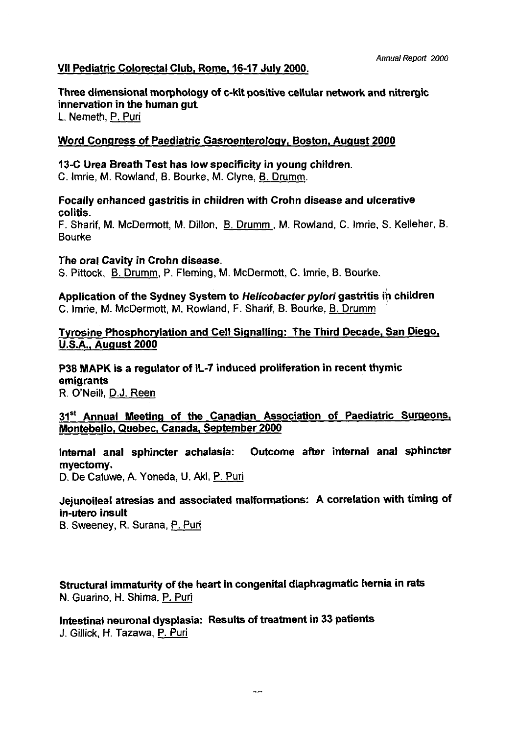# VII Pediatric Colorectal Club, Rome, **16-17** July **2000.**

Three dimensional morphology of c-kit positive cellular network and nitrergic innervation in the human gut. L. Nemeth, P. Puri

# Word Congress of Paediatric Gasroenteroloav, Boston. Auaust **2000**

# 13-C Urea Breath Test has low specificity in young children.

C. Imrie, M. Rowland, **6.** Bourke, M. Clyne, B. Drumm.

# Focally enhanced gastritis in children with Crohn disease and ulcerative colitis.

F. Sharif, M. McDermott, M. Dillon, B. Drumm , M. Rowland, C. Imrie, S. Kelleher, B. Bourke

The oral Cavity in Crohn disease.

S. Pittock, B. Drumm, P. Fleming, M. McDermott, C. Imrie, B. Bourke.

Application of the Sydney System to Helicobacter pylori gastritis in children C. Imrie, M. McDermott, M. Rowland, F. Sharif, B. Bourke, B. Drumm

# Tyrosine Phosphorylation and Cell Signalling: The Third Decade, San Diego, U.S.A.. August **2000**

**P38 MAPK** is a regulator of IL-7 induced proliferation in recent thymic emigrants R. O'Neill, D.J. Reen

# **31'** Annual Meetinq of the Canadian Association of Paediatric Sumeons, Montebello, Quebec, Canada, September **2000**

Internal anal sphincter achalasia: Outcome after internal anal sphincter myectomy.

D. De Caluwe, A. Yoneda, U. Akl,

# Jejunoileal atresias and associated malformations: A correlation with timing of in-utero insult

B. Sweeney, R. Surana, P. Puri

Structural immaturity of the heart in congenital diaphragmatic hernia in **rats**  N. Guarino, H. Shima,

Intestinal neuronal dysplasia: Results of treatment in **33** patients J. Gillick, H. Tazawa, P. Puri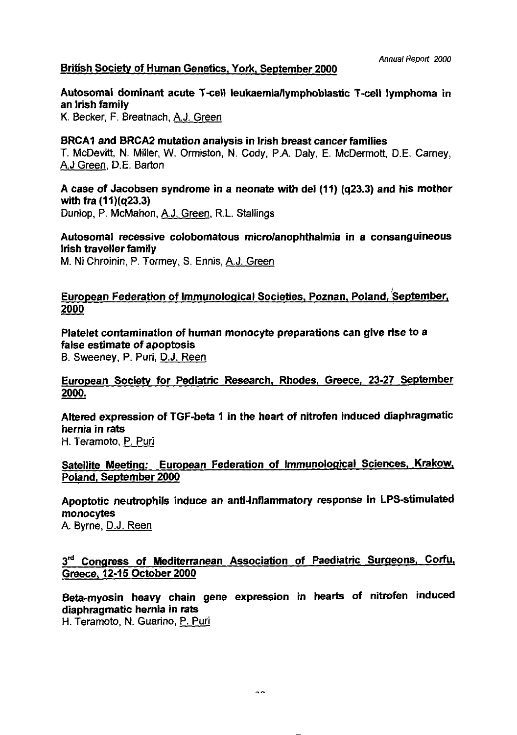# British Society of Human Genetics. York, September **2000**

Autosomal dominant acute T-cell leukaemiaflymphoblastic T-cell lymphoma in an lrish family

K. Becker, F. Breatnach, A.J. Green

# BRCAI and BRCA2 mutation analysis in lrish breast cancer families

T. McDevitt, N. Miller, W. Ormiston, N. Cody, P.A. Daly, E. McDermott, D.E. Carney, A.J Green, D.E. Barton

A case of Jacobsen syndrome in a neonate with del (11) (q23.3) and his mother with fra (11)(q23.3)

Dunlop, P. McMahon, A.J. Green, R.L. Stallings

# Autosomal recessive colobomatous microlanophthalmia in a consanguineous lrish traveller family

M. Ni Chroinin, P. Tormey, S. Ennis, A.J. Green

## !<br>= European Federation of Immunological Societies, Poznan, Poland, September, 2000

Platelet contamination of human monocyte preparations can give rise to a false estimate of apoptosis **Platelet con<br>false estima<br>B. Sweeney<br><u>European S</u><br>2000.** 

B. Sweeney, P. Puri, D.J. Reen

# European Society for Pediatric Research. Rhodes, Greece, 23-27 September

Altered expression of TGF-beta 1 in the heart of nitrofen induced diaphragmatic hernia in rats

H. Teramoto,

# Satellite Meeting: European Federation of Immunological Sciences, Krakow, Poland, September **2000**

# Apoptotic neutrophils induce an anti-inflammatory response in LPS-stimulated monocytes A. Byrne, D.J. Reen

3<sup>rd</sup> Congress of Mediterranean Association of Paediatric Surgeons, Corfu, Greece. 12-15 October **2000** 

Beta-myosin heavy chain gene expression in hearts of nitrofen induced diaphragmatic hernia in rats

H. Teramoto, N. Guarino, P. Puri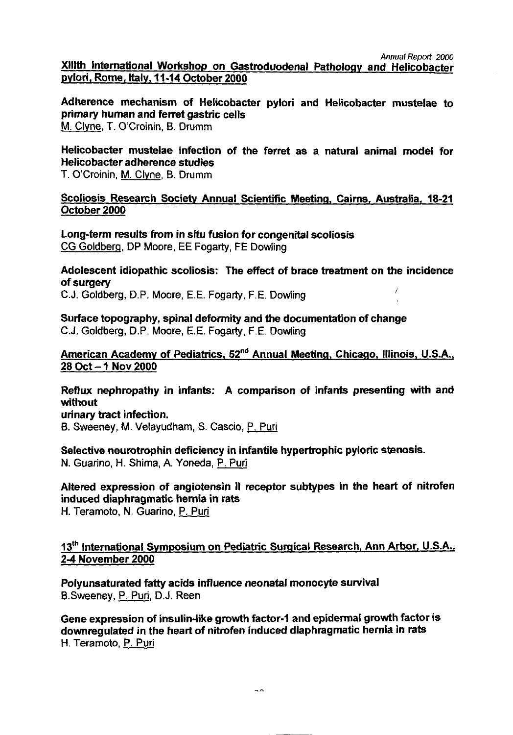*Annual* Report 2000

Xlllth International Workshop on Gastroduodenal Pathology and Helicobacter pylori, Rome. Italy. 11-14 October **2000** 

Adherence mechanism of Helicobacter pylori and Helicobacter mustelae to primary human and ferret gastric cells M. Clyne, T. O'Croinin, B. Drumm

Helicobacter mustelae infection of the ferret as a natural animal model for Helicobacter adherence studies

T. O'Croinin, M. Clyne, B. Drumm

Scoliosis Research Society Annual Scientific Meetina, Cairns. Australia. 18-21 October **2000** 

Long-term results from in situ fusion for congenital scoliosis CG Goldberg, DP Moore, EE Fogarty, FE Dowling

# Adolescent idiopathic scoliosis: The effect of brace treatment on the incidence of surgery

C.J. Goldberg, D.P. Moore, E.E. Fogarty, F.E. Dowling /

Surface topography, spinal deformity and the documentation of change C.J. Goldberg, D.P. Moore, E.E. Fogarty, F.E. Dowling

American Academy of Pediatrics, 52<sup>nd</sup> Annual Meeting, Chicago, Illinois, U.S.A., 28 Oct - 1 NOV **<sup>2000</sup>**

Reflux nephropathy in infants: A comparison of infants presenting with and without

urinary tract infection. 6. Sweeney, M. Velayudham, S. Cascio,

Selective neurotrophin deficiency in infantile hypertrophic pyloric stenosis. N. Guarino, H. Shima, A. Yoneda,

# Altered expression of angiotensin II receptor subtypes in the heart of nitrofen induced diaphragmatic hernia in rats

H. Teramoto, N. Guarino, P. Puri

# 13<sup>th</sup> International Symposium on Pediatric Surgical Research, Ann Arbor, U.S.A., **2-4** November **2000**

Polyunsaturated fatty acids influence neonatal monocyte survival B.Sweeney, P. Puri, D.J. Reen

Gene expression of insulin-like growth factor-I and epidermal growth factor is downregulated in the heart of nitrofen induced diaphragmatic hernia in rats H. Teramoto, P. Puri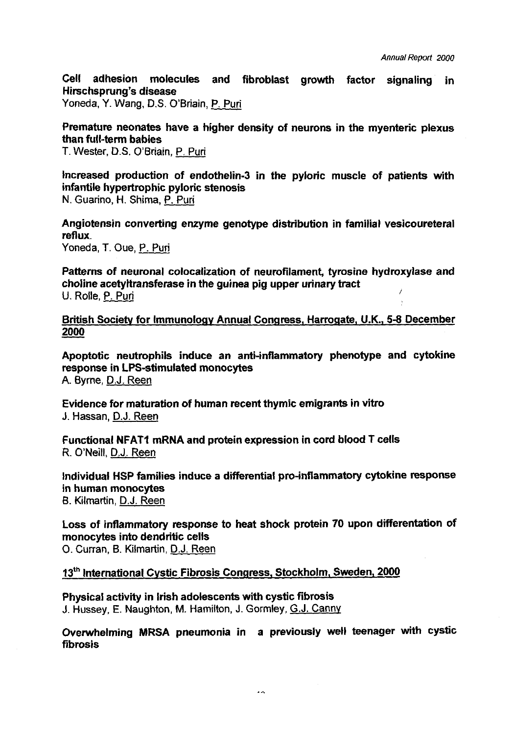Cell adhesion molecules and fibroblast growth factor signaling in Hirschsprung's disease Yoneda, Y. Wang, D.S. O'Briain,

Premature neonates have a higher density of neurons in the myenteric plexus than full-term babies

T. Wester, D.S. O'Briain,

Increased production of endothelin-3 in the pyloric muscle of patients with infantile hypertrophic pyloric stenosis N. Guarino, H. Shima,

Angiotensin converting enzyme genotype distribution in familial vesicoureteral reflux.

Yoneda, T. Oue, P. Puri

Patterns of neuronal colocalization of neurofilament, tyrosine hydroxylase and ratterns of neuronal colocalization of neuronlament, tyrosine<br>choline acetyltransferase in the guinea pig upper urinary tract<br>U. Rolle, <u>P. Puri</u><br>British Society for Immunology Annual Congress, Harrogate, I<br>2000 U. Rolle, P. Puri

British Society for Immunology Annual Congress, Harrogate, U.K., 5-8 December

Apoptotic neutrophils induce an anti-inflammatory phenotype and cytokine response in LPS-stimulated monocytes A. Byrne, D.J. Reen

Evidence for maturation of human recent thymic emigrants in vitro J. Hassan, D.J. Reen

Functional NFATI mRNA and protein expression in cord blood T cells R. O'Neill, D.J. Reen

Individual HSP families induce a differential pro-inflammatory cytokine response in human monocytes 6. Kilmartin, D.J. Reen

Loss of inflammatory response to heat shock protein 70 upon differentation of monocytes into dendritic cells

**0.** Curran, B. Kilmartin, D.J. Reen

**13"** International Cystic Fibrosis Congress, Stockholm, Sweden, 2000

Physical activity in Irish adolescents with cystic fibrosis J. Hussey, E. Naughton, M. Hamilton, J. Gormley, G.J. Canny

Overwhelming MRSA pneumonia in a previously well teenager with cystic fibrosis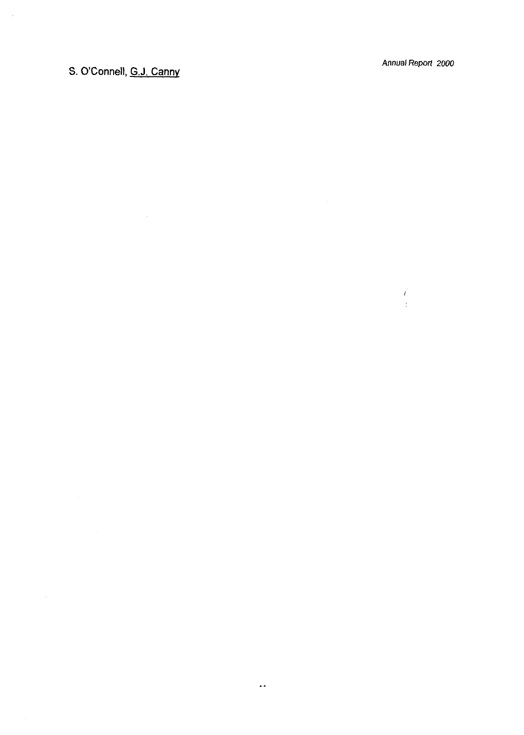S. O'Connell, **G.J.** Canny

 $\mathcal{L}_{\text{max}}$ 

 $\mathcal{A}^{\mathcal{A}}$ 

 $\sim$   $\alpha$ 

 $\frac{1}{\sqrt{2}}$ 

**Annual Reporl 2000** 

 $\vec{f}$  $\bar{A}$ 

 $\mathcal{A}_{\mathcal{A}}$ 

 $\bar{\lambda}$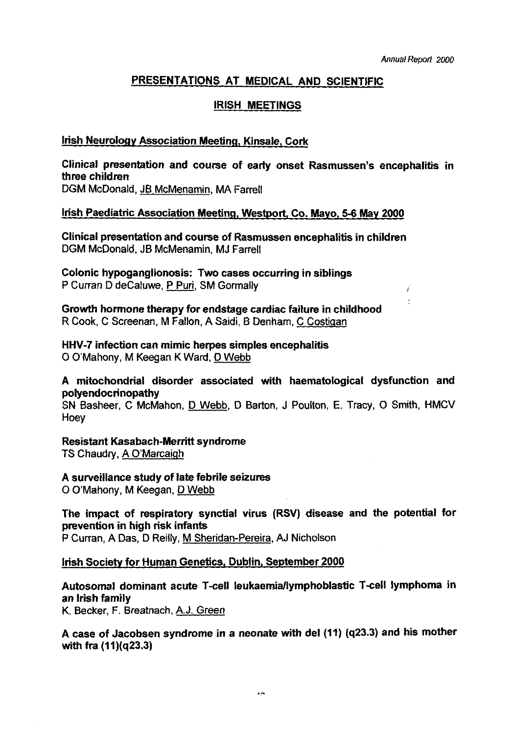# PRESENTATIONS AT MEDICAL AND SCIENTIFIC

# IRISH MEETINGS

# lrish Neuroloav Association Meeting, Kinsale, Cork

Clinical presentation and course of early onset Rasmussen's encephalitis in three children

DGM McDonald, JB McMenamin, MA Farrell

# Irish Paediatric Association Meeting, Westport, Co. Mayo, 5-6 May **2000**

Clinical presentation and course of Rasmussen encephalitis in children DGM McDonald, JB McMenamin, MJ Farrell

Colonic hypoganglionosis: Two cases occurring in siblings DGM McDonalo, JB McMenamin, MJ Farrell<br>Colonic hypoganglionosis: Two cases occurring in siblings<br>P Curran D deCaluwe, <u>P Puri,</u> SM Gormally

Growth hormone therapy for endstage cardiac failure in childhood R Cook, C Screenan, M Fallon, A Saidi, B Denham, C Costigan

HHV-7 infection can mimic herpes simples encephalitis 0 O'Mahony, M Keegan K Ward, D Webb

# A mitochondria1 disorder associated with haematological dysfunction and polyendocrinopathy

SN Basheer, C McMahon, D Webb, D Barton, J Poulton, E. Tracy, 0 Smith, HMCV Hoey

Resistant Kasabach-Merritt syndrome TS Chaudry, A O'Marcaigh

A surveillance study of late febrile seizures

0 O'Mahony, M Keegan, **D** Webb

# The impact of respiratory synctial virus (RSV) disease and the potential for prevention in high risk infants

P Curran, A Das, D Reilly, M Sheridan-Pereira, AJ Nicholson

# lrish Societv for Human Genetics. Dublin, September **2000**

Autosomal dominant acute T-cell leukaemia/lymphoblastic T-cell lymphoma in an lrish family K. Becker, F. Breatnach, A.J. Green

A case of Jacobsen syndrome in a neonate with del **(11) (q23.3) and** his mother **with** fra **(11)(q23.3)**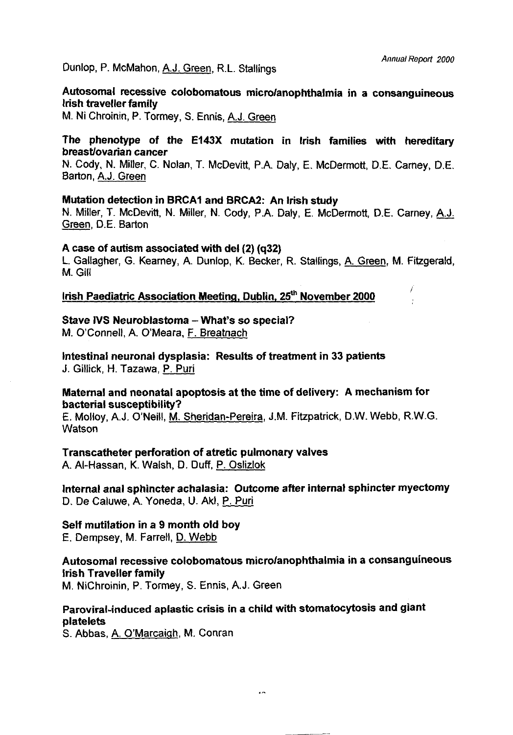Dunlop, P. McMahon, A.J. Green, R.L. Stallings

# Autosomal recessive colobomatous microlanophthalmia in a consanguineous Irish traveller family

M. Ni Chroinin, P. Tormey, S. Ennis, A.J. Green

# The phenotype of the **E143X** mutation in lrish families with hereditary breast/ovarian cancer

N. Cody, N. Miller, C. Nolan, T. McDevitt, PA Daly, E. McDermott, D.E. Carney, D.E. Barton, A.J. Green breast/ovarian can<br>N. Cody, N. Miller, C<br>Barton, <u>A.J. Green</u><br>Mutation detection<br>N. Miller, T. McDevi<br><u>Green,</u> D.E. Barton<br>A case of autism as

# Mutation detection in BRCAI and BRCA2: An lrish study

N. Miller, T. McDevitt, N. Miller, N. Cody, P.A. Daly, E. McDermott, D.E. Carney, A.J. Green, D.E. Barton

# A case of autism associated with del(2) (q32)

L. Gallagher, G. Kearney, A. Dunlop, K. Becker, R. Stallings, A. Green, M. Fitzgerald, M. Gill

# Irish Paediatric Association Meeting, Dublin, 25<sup>th</sup> November 2000

# Stave IVS Neuroblastoma - What's so special?

M. O'Connell, A. O'Meara, F. Breatnach

# Intestinal neuronal dysplasia: Results of treatment in 33 patients J. Gillick, H. Tazawa, P. Puri

# Maternal and neonatal apoptosis at the time of delivery: A mechanism for bacterial susceptibility?

E. Molloy, A.J. O'Neill, M. Sheridan-Pereira, J.M. Fitzpatrick, D.W. Webb, R.W.G. **Watson** 

# Transcatheter perforation **of** atretic pulmonary valves

A. Al-Hassan, K. Walsh, D. Duff, P. Oslizlok

# Internal anal sphincter achalasia: Outcome after internal sphincter myectomy D. De Caluwe, A. Yoneda, U. Akl,

Self mutilation in a 9 month old boy E. Dempsey, M. Farrell, D. Webb

# Autosomal recessive colobomatous microlanophthalmia in a consanguineous lrish Traveller family

M. NiChroinin, P. Tormey, S. Ennis, A.J. Green

# Paroviral-induced aplastic crisis in a child with stomatocytosis and giant platelets

S. Abbas, A. O'Marcaigh, M. Conran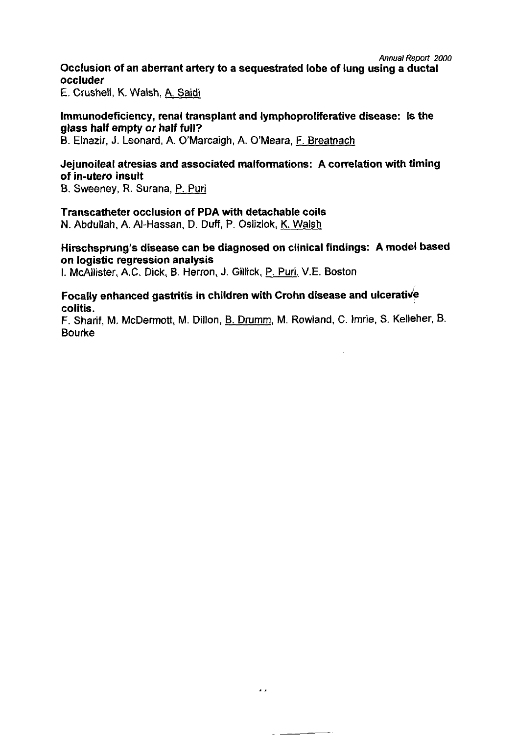# **Annual Report 2000**  Occlusion of an aberrant artery to a sequestrated lobe of lung using a ductal occluder

E. Crushell, K. Walsh, A. Saidi

# Immunodeficiency, renal transplant and lymphoproliferative disease: Is the glass half empty or half full?

B. Elnazir, J. Leonard, A. O'Marcaigh, **A.** O'Meara, **F.** Breatnach

# Jejunoileal atresias and associated malformations: A correlation with timing of in-utero insult

B. Sweeney, R. Surana, P. Puri

# Transcatheter occlusion of PDA with detachable coils

N. Abdullah, A. Al-Hassan, D. Duff, P. Oslizlok, K. Walsh

# Hi<mark>rschsprung's disease can be diagnosed on clinical findings: A model based</mark><br>on logistic regression analysis<br>I. McAllister, A.C. Dick, B. Herron, J. Gillick, <u>P. Puri,</u> V.E. Boston on logistic regression analysis<br>1. McAllister, A.C. Dick, B. Herron, J. Gillick, P. Puri, V.E. Boston

# Focally enhanced gastritis in children with Crohn disease and ulcerative colitis.

F. Sharif, M. McDermott, **M.** Dillon, B. Drumm, M. Rowland, C. Imrie, S. Kelleher, B. Bourke